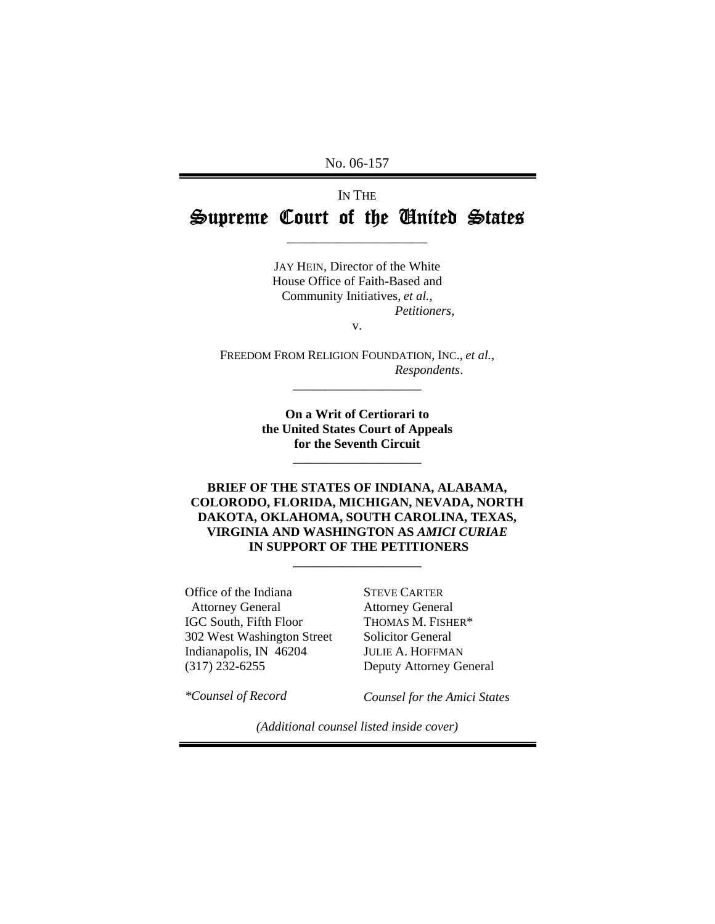No. 06-157

# IN THE Supreme Court of the United States

\_\_\_\_\_\_\_\_\_\_\_\_\_\_\_\_\_\_\_\_

JAY HEIN, Director of the White House Office of Faith-Based and Community Initiatives, *et al.*,  *Petitioners*,

v.

FREEDOM FROM RELIGION FOUNDATION, INC., *et al.*,  *Respondents*. \_\_\_\_\_\_\_\_\_\_\_\_\_\_\_\_\_\_\_\_

> **On a Writ of Certiorari to the United States Court of Appeals for the Seventh Circuit**

> > \_\_\_\_\_\_\_\_\_\_\_\_\_\_\_\_\_\_\_\_

**BRIEF OF THE STATES OF INDIANA, ALABAMA, COLORODO, FLORIDA, MICHIGAN, NEVADA, NORTH DAKOTA, OKLAHOMA, SOUTH CAROLINA, TEXAS, VIRGINIA AND WASHINGTON AS** *AMICI CURIAE*   **IN SUPPORT OF THE PETITIONERS** 

**\_\_\_\_\_\_\_\_\_\_\_\_\_\_\_\_\_\_\_\_** 

Office of the Indiana Attorney General IGC South, Fifth Floor 302 West Washington Street Indianapolis, IN 46204 (317) 232-6255

STEVE CARTER Attorney General THOMAS M. FISHER\* Solicitor General JULIE A. HOFFMAN Deputy Attorney General

*\*Counsel of Record* 

*Counsel for the Amici States* 

*(Additional counsel listed inside cover)*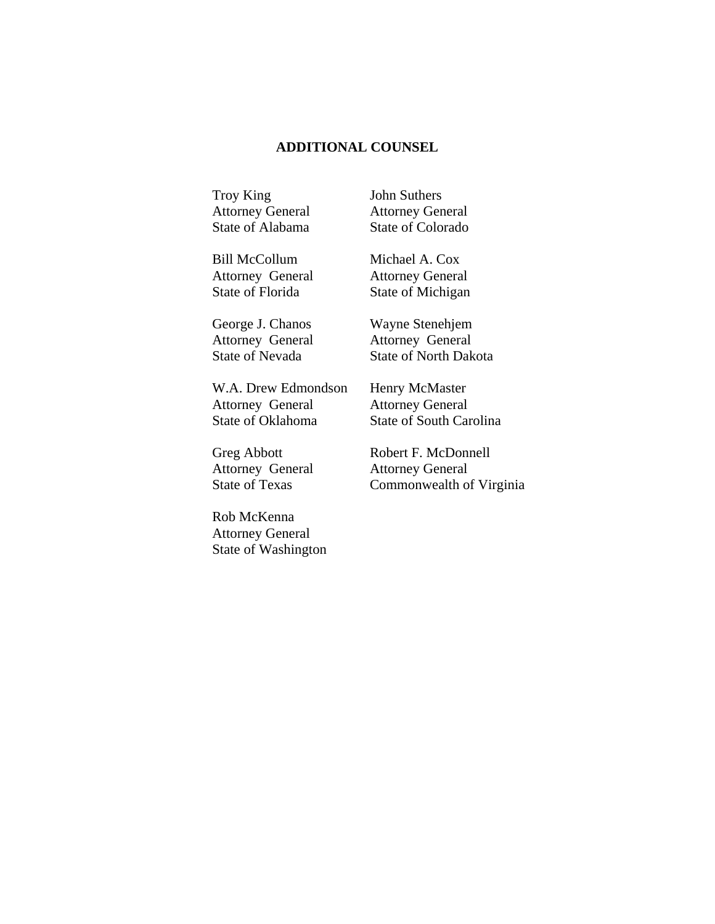#### **ADDITIONAL COUNSEL**

Troy King Attorney General State of Alabama John Suthers Attorney General State of Colorado

Bill McCollum Attorney General State of Florida

George J. Chanos Attorney General State of Nevada

W.A. Drew Edmondson Attorney General State of Oklahoma

Greg Abbott Attorney General State of Texas

Rob McKenna Attorney General State of Washington Michael A. Cox Attorney General State of Michigan

Wayne Stenehjem Attorney General State of North Dakota

Henry McMaster Attorney General State of South Carolina

Robert F. McDonnell Attorney General Commonwealth of Virginia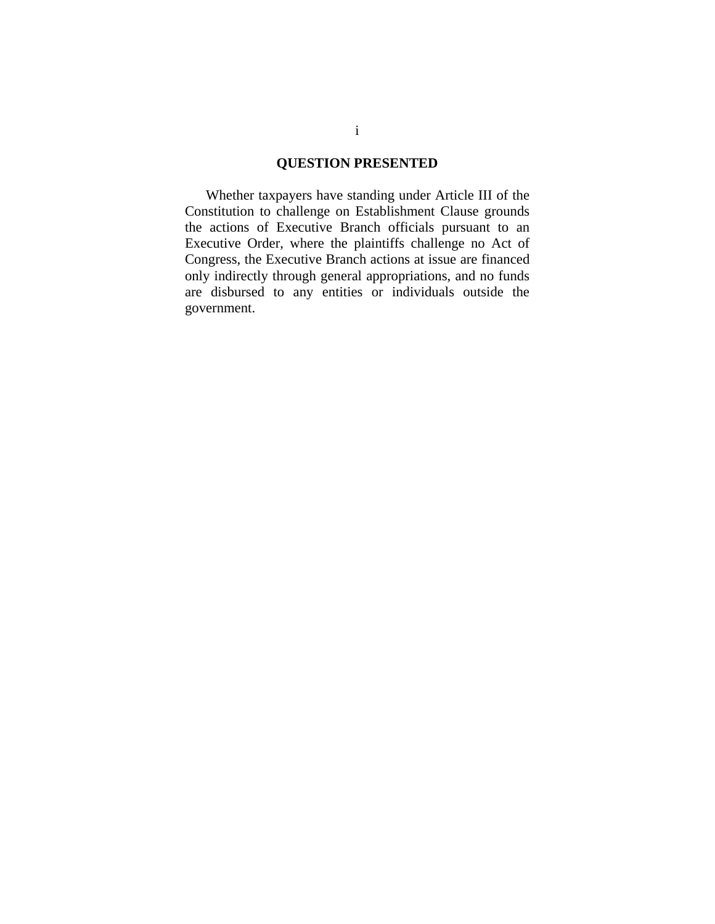### **QUESTION PRESENTED**

 Whether taxpayers have standing under Article III of the Constitution to challenge on Establishment Clause grounds the actions of Executive Branch officials pursuant to an Executive Order, where the plaintiffs challenge no Act of Congress, the Executive Branch actions at issue are financed only indirectly through general appropriations, and no funds are disbursed to any entities or individuals outside the government.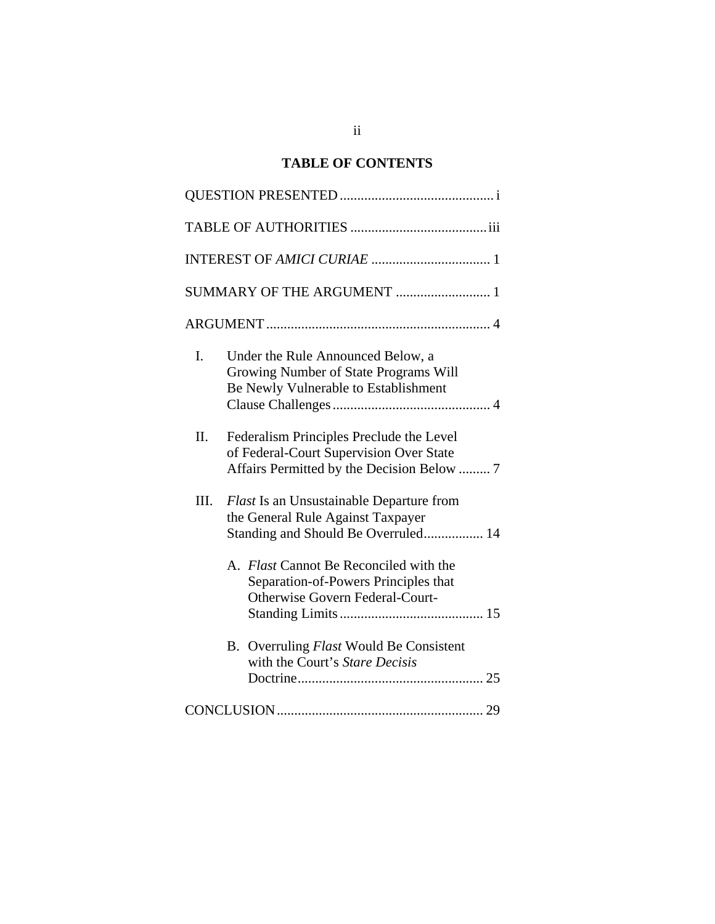## **TABLE OF CONTENTS**

| SUMMARY OF THE ARGUMENT  1                                                                                                             |
|----------------------------------------------------------------------------------------------------------------------------------------|
|                                                                                                                                        |
| I.<br>Under the Rule Announced Below, a<br>Growing Number of State Programs Will<br>Be Newly Vulnerable to Establishment               |
| Π.<br>Federalism Principles Preclude the Level<br>of Federal-Court Supervision Over State<br>Affairs Permitted by the Decision Below 7 |
| Ш.<br><b>Flast Is an Unsustainable Departure from</b><br>the General Rule Against Taxpayer<br>Standing and Should Be Overruled 14      |
| A. Flast Cannot Be Reconciled with the<br>Separation-of-Powers Principles that<br><b>Otherwise Govern Federal-Court-</b>               |
| B. Overruling Flast Would Be Consistent<br>with the Court's Stare Decisis                                                              |
|                                                                                                                                        |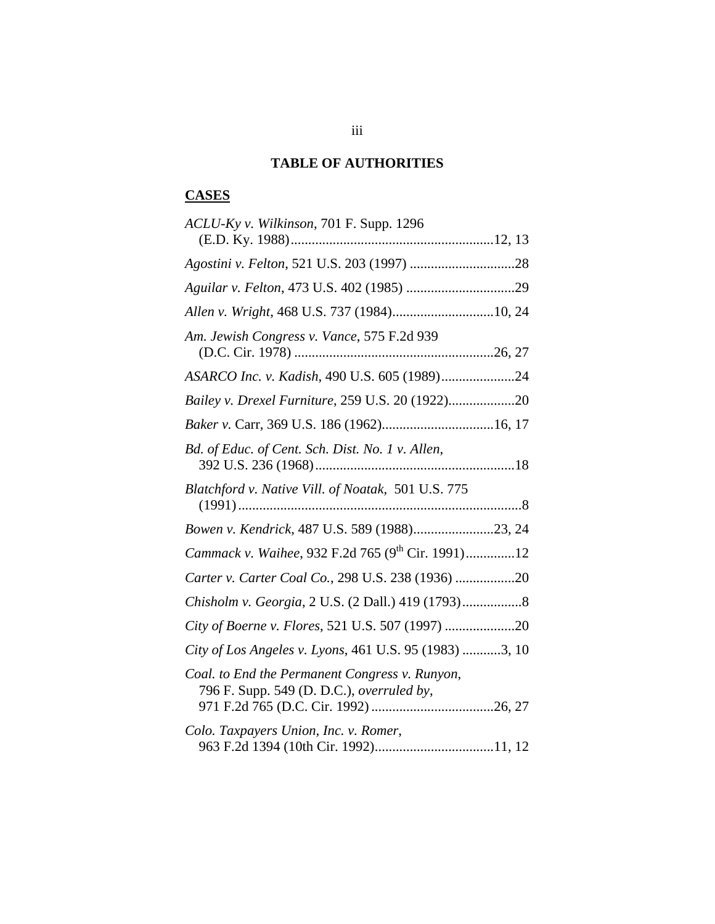### **TABLE OF AUTHORITIES**

# **CASES**

| ACLU-Ky v. Wilkinson, 701 F. Supp. 1296                                                     |
|---------------------------------------------------------------------------------------------|
|                                                                                             |
|                                                                                             |
|                                                                                             |
| Allen v. Wright, 468 U.S. 737 (1984)10, 24                                                  |
| Am. Jewish Congress v. Vance, 575 F.2d 939                                                  |
| ASARCO Inc. v. Kadish, 490 U.S. 605 (1989)24                                                |
|                                                                                             |
|                                                                                             |
| Bd. of Educ. of Cent. Sch. Dist. No. 1 v. Allen,                                            |
| Blatchford v. Native Vill. of Noatak, 501 U.S. 775                                          |
| Bowen v. Kendrick, 487 U.S. 589 (1988)23, 24                                                |
| <i>Cammack v. Waihee, 932 F.2d 765 (9<sup>th</sup> Cir. 1991)12</i>                         |
| Carter v. Carter Coal Co., 298 U.S. 238 (1936) 20                                           |
|                                                                                             |
| City of Boerne v. Flores, 521 U.S. 507 (1997) 20                                            |
| City of Los Angeles v. Lyons, 461 U.S. 95 (1983) 3, 10                                      |
| Coal. to End the Permanent Congress v. Runyon,<br>796 F. Supp. 549 (D. D.C.), overruled by, |
|                                                                                             |
| Colo. Taxpayers Union, Inc. v. Romer,                                                       |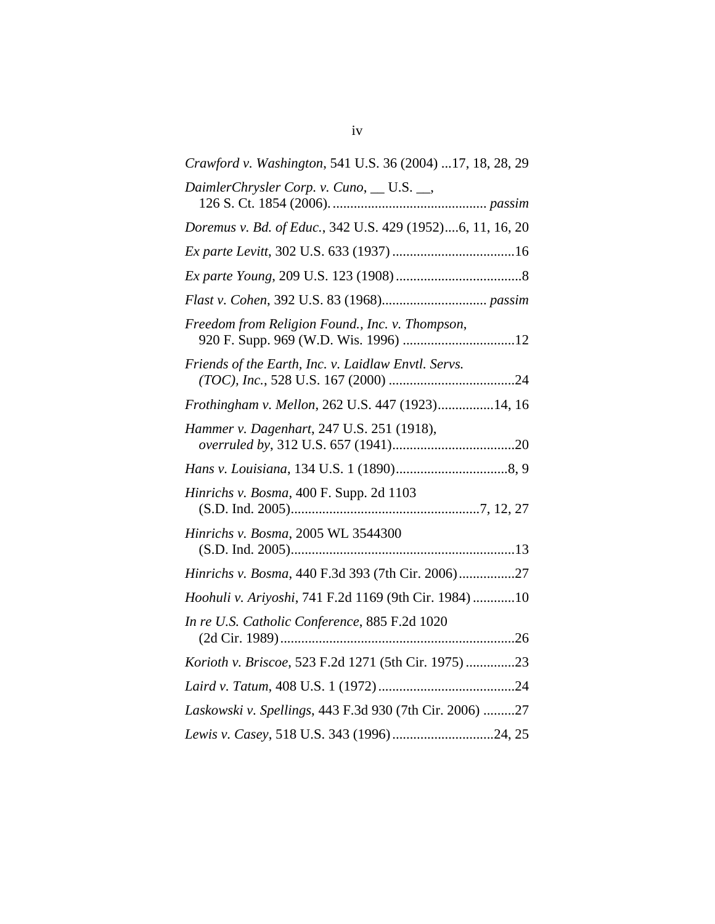| Crawford v. Washington, 541 U.S. 36 (2004) 17, 18, 28, 29 |
|-----------------------------------------------------------|
| DaimlerChrysler Corp. v. Cuno, __ U.S. __,                |
| Doremus v. Bd. of Educ., 342 U.S. 429 (1952)6, 11, 16, 20 |
|                                                           |
|                                                           |
|                                                           |
| Freedom from Religion Found., Inc. v. Thompson,           |
| Friends of the Earth, Inc. v. Laidlaw Envtl. Servs.       |
| Frothingham v. Mellon, 262 U.S. 447 (1923)14, 16          |
| Hammer v. Dagenhart, 247 U.S. 251 (1918),                 |
|                                                           |
| Hinrichs v. Bosma, 400 F. Supp. 2d 1103                   |
| Hinrichs v. Bosma, 2005 WL 3544300                        |
|                                                           |
| Hinrichs v. Bosma, 440 F.3d 393 (7th Cir. 2006)27         |
| Hoohuli v. Ariyoshi, 741 F.2d 1169 (9th Cir. 1984) 10     |
| In re U.S. Catholic Conference, 885 F.2d 1020             |
| Korioth v. Briscoe, 523 F.2d 1271 (5th Cir. 1975)23       |
|                                                           |
| Laskowski v. Spellings, 443 F.3d 930 (7th Cir. 2006) 27   |
| Lewis v. Casey, 518 U.S. 343 (1996)24, 25                 |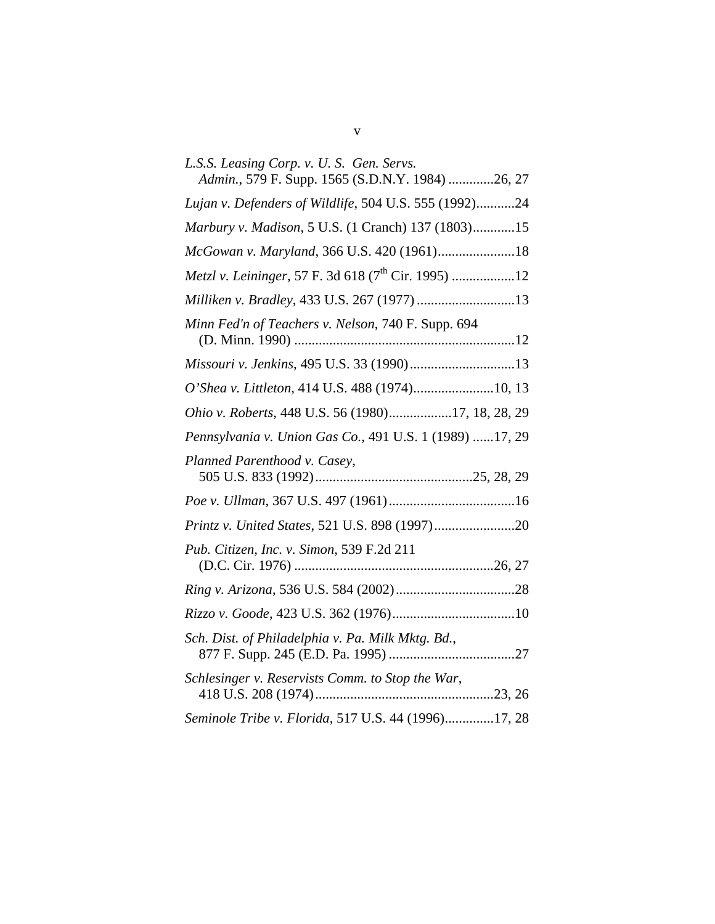| L.S.S. Leasing Corp. v. U.S. Gen. Servs.<br>Admin., 579 F. Supp. 1565 (S.D.N.Y. 1984) 26, 27 |
|----------------------------------------------------------------------------------------------|
| Lujan v. Defenders of Wildlife, 504 U.S. 555 (1992)24                                        |
| Marbury v. Madison, 5 U.S. (1 Cranch) 137 (1803)15                                           |
|                                                                                              |
|                                                                                              |
|                                                                                              |
| Minn Fed'n of Teachers v. Nelson, 740 F. Supp. 694                                           |
| Missouri v. Jenkins, 495 U.S. 33 (1990)13                                                    |
| O'Shea v. Littleton, 414 U.S. 488 (1974)10, 13                                               |
| Ohio v. Roberts, 448 U.S. 56 (1980)17, 18, 28, 29                                            |
| Pennsylvania v. Union Gas Co., 491 U.S. 1 (1989) 17, 29                                      |
| Planned Parenthood v. Casey,                                                                 |
|                                                                                              |
|                                                                                              |
| Pub. Citizen, Inc. v. Simon, 539 F.2d 211                                                    |
|                                                                                              |
|                                                                                              |
| Sch. Dist. of Philadelphia v. Pa. Milk Mktg. Bd.,                                            |
| Schlesinger v. Reservists Comm. to Stop the War,                                             |
| Seminole Tribe v. Florida, 517 U.S. 44 (1996)17, 28                                          |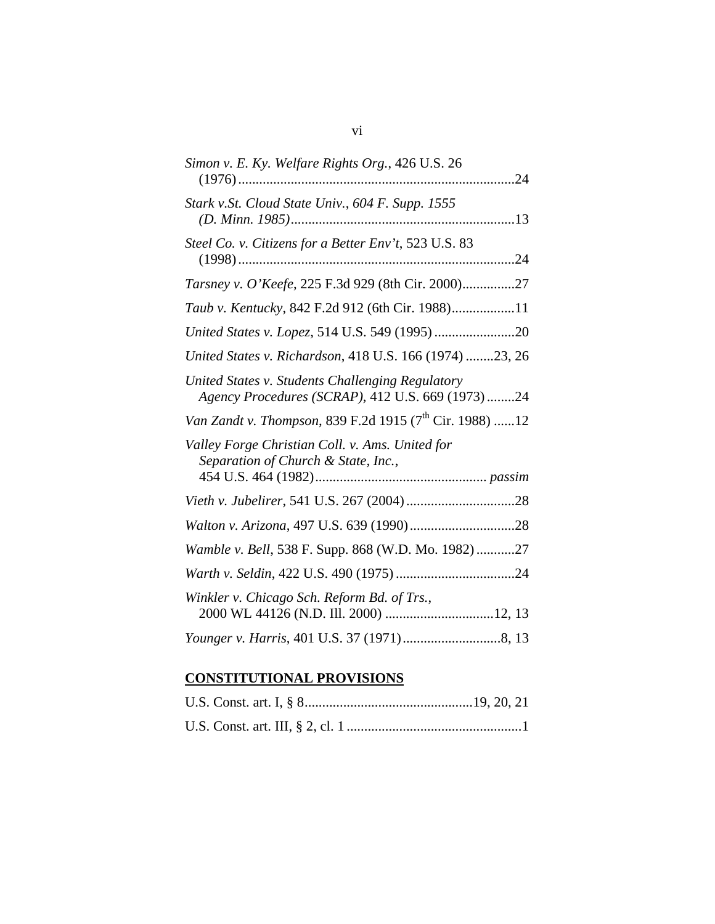| Simon v. E. Ky. Welfare Rights Org., 426 U.S. 26                                                      |
|-------------------------------------------------------------------------------------------------------|
| Stark v.St. Cloud State Univ., 604 F. Supp. 1555                                                      |
| Steel Co. v. Citizens for a Better Env't, 523 U.S. 83                                                 |
| Tarsney v. O'Keefe, 225 F.3d 929 (8th Cir. 2000)27                                                    |
| Taub v. Kentucky, 842 F.2d 912 (6th Cir. 1988)11                                                      |
|                                                                                                       |
| United States v. Richardson, 418 U.S. 166 (1974) 23, 26                                               |
| United States v. Students Challenging Regulatory<br>Agency Procedures (SCRAP), 412 U.S. 669 (1973) 24 |
| Van Zandt v. Thompson, 839 F.2d 1915 (7 <sup>th</sup> Cir. 1988) 12                                   |
| Valley Forge Christian Coll. v. Ams. United for<br>Separation of Church & State, Inc.,                |
|                                                                                                       |
|                                                                                                       |
| Wamble v. Bell, 538 F. Supp. 868 (W.D. Mo. 1982)27                                                    |
|                                                                                                       |
| Winkler v. Chicago Sch. Reform Bd. of Trs.,                                                           |
|                                                                                                       |

# **CONSTITUTIONAL PROVISIONS**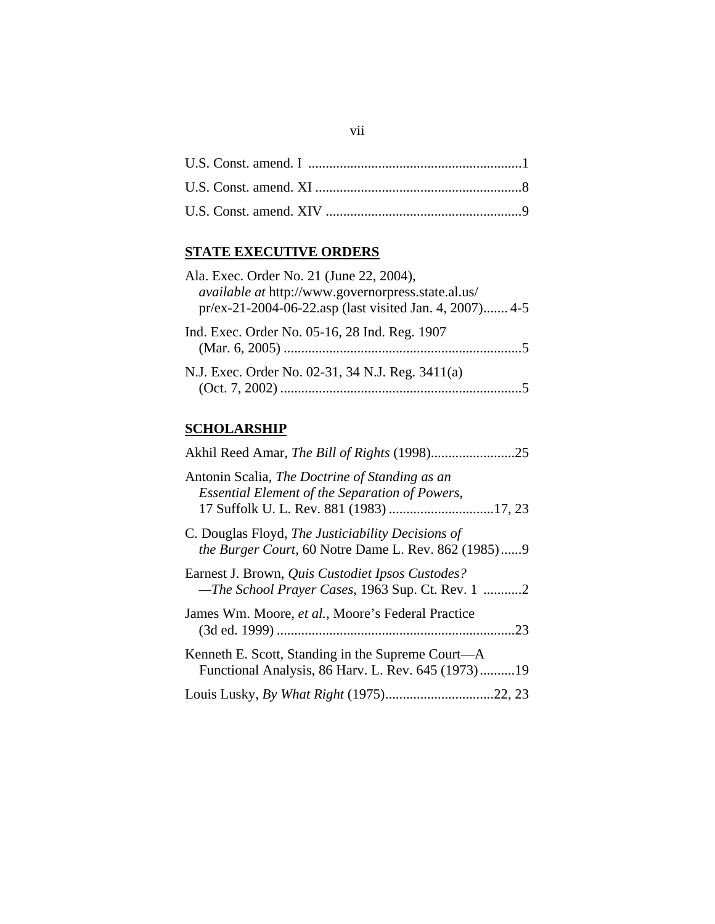## **STATE EXECUTIVE ORDERS**

| Ala. Exec. Order No. 21 (June 22, 2004),                                                                             |
|----------------------------------------------------------------------------------------------------------------------|
| <i>available at http://www.governorpress.state.al.us/</i><br>pr/ex-21-2004-06-22.asp (last visited Jan. 4, 2007) 4-5 |
| Ind. Exec. Order No. 05-16, 28 Ind. Reg. 1907                                                                        |
| N.J. Exec. Order No. 02-31, 34 N.J. Reg. 3411(a)                                                                     |

### **SCHOLARSHIP**

| Antonin Scalia, The Doctrine of Standing as an<br><b>Essential Element of the Separation of Powers,</b>         |
|-----------------------------------------------------------------------------------------------------------------|
|                                                                                                                 |
| C. Douglas Floyd, The Justiciability Decisions of<br><i>the Burger Court, 60 Notre Dame L. Rev. 862 (1985)9</i> |
| Earnest J. Brown, Quis Custodiet Ipsos Custodes?<br>-The School Prayer Cases, 1963 Sup. Ct. Rev. 1 2            |
| James Wm. Moore, et al., Moore's Federal Practice                                                               |
| Kenneth E. Scott, Standing in the Supreme Court—A<br>Functional Analysis, 86 Harv. L. Rev. 645 (1973)19         |
|                                                                                                                 |
|                                                                                                                 |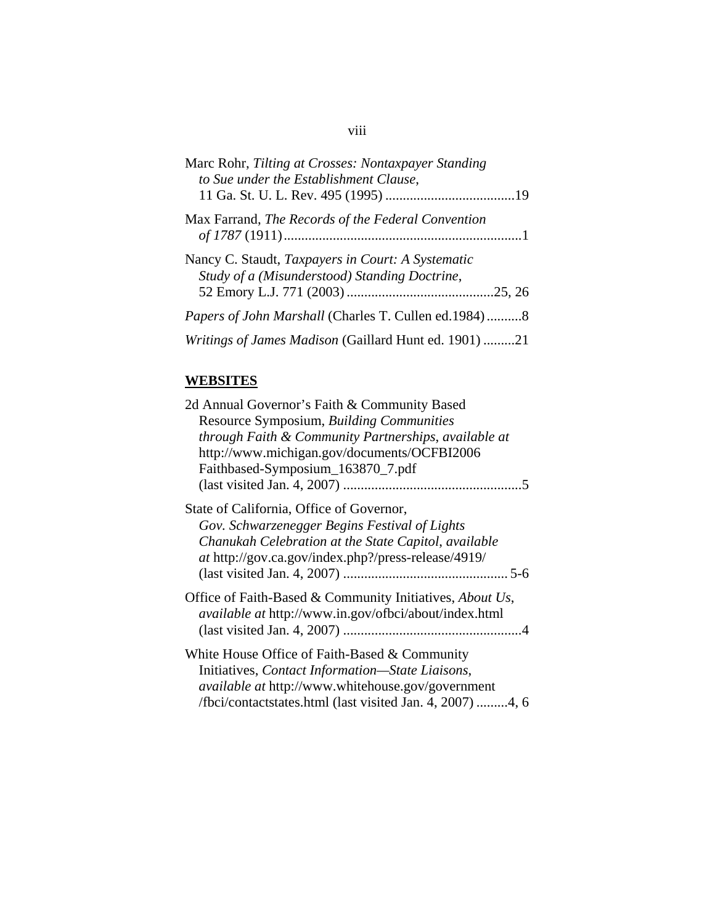| Marc Rohr, Tilting at Crosses: Nontaxpayer Standing<br>to Sue under the Establishment Clause,      |  |
|----------------------------------------------------------------------------------------------------|--|
| Max Farrand, The Records of the Federal Convention                                                 |  |
| Nancy C. Staudt, Taxpayers in Court: A Systematic<br>Study of a (Misunderstood) Standing Doctrine, |  |
|                                                                                                    |  |
| <i>Papers of John Marshall</i> (Charles T. Cullen ed.1984)8                                        |  |
| Writings of James Madison (Gaillard Hunt ed. 1901) 21                                              |  |

## **WEBSITES**

| 2d Annual Governor's Faith & Community Based<br>Resource Symposium, Building Communities                                                                                                                                   |
|----------------------------------------------------------------------------------------------------------------------------------------------------------------------------------------------------------------------------|
| through Faith & Community Partnerships, available at<br>http://www.michigan.gov/documents/OCFBI2006                                                                                                                        |
| Faithbased-Symposium_163870_7.pdf                                                                                                                                                                                          |
| State of California, Office of Governor,<br>Gov. Schwarzenegger Begins Festival of Lights<br>Chanukah Celebration at the State Capitol, available<br><i>at</i> http://gov.ca.gov/index.php?/press-release/4919/            |
| Office of Faith-Based & Community Initiatives, About Us,<br>available at http://www.in.gov/ofbci/about/index.html                                                                                                          |
| White House Office of Faith-Based & Community<br>Initiatives, Contact Information-State Liaisons,<br><i>available at http://www.whitehouse.gov/government</i><br>/fbci/contactstates.html (last visited Jan. 4, 2007) 4, 6 |

## viii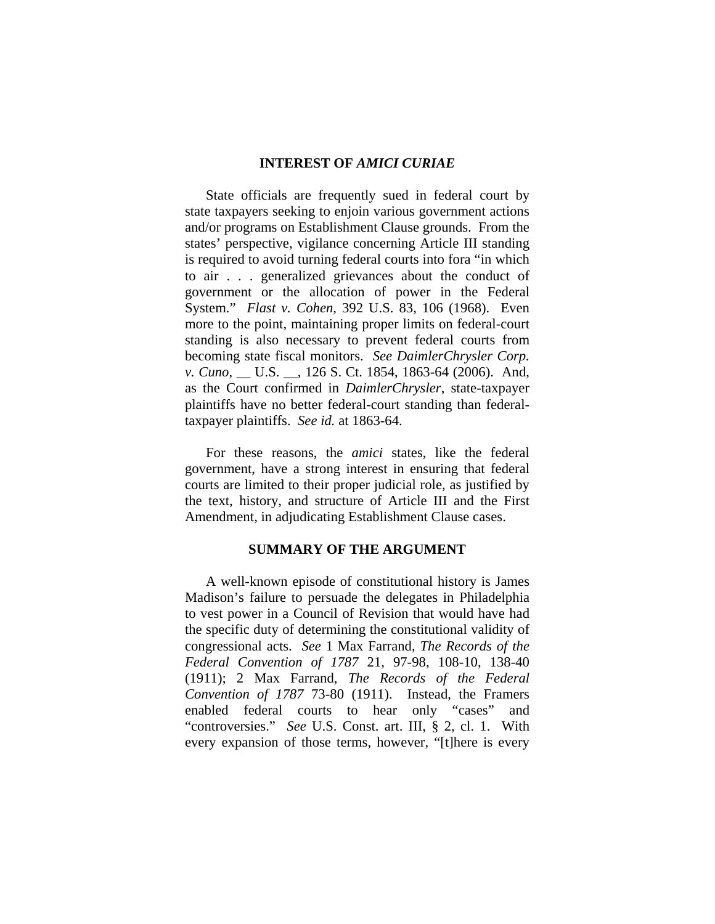#### **INTEREST OF** *AMICI CURIAE*

State officials are frequently sued in federal court by state taxpayers seeking to enjoin various government actions and/or programs on Establishment Clause grounds. From the states' perspective, vigilance concerning Article III standing is required to avoid turning federal courts into fora "in which to air . . . generalized grievances about the conduct of government or the allocation of power in the Federal System." *Flast v. Cohen*, 392 U.S. 83, 106 (1968). Even more to the point, maintaining proper limits on federal-court standing is also necessary to prevent federal courts from becoming state fiscal monitors. *See DaimlerChrysler Corp. v. Cuno*, \_\_ U.S. \_\_, 126 S. Ct. 1854, 1863-64 (2006). And, as the Court confirmed in *DaimlerChrysler*, state-taxpayer plaintiffs have no better federal-court standing than federaltaxpayer plaintiffs. *See id.* at 1863-64.

For these reasons, the *amici* states, like the federal government, have a strong interest in ensuring that federal courts are limited to their proper judicial role, as justified by the text, history, and structure of Article III and the First Amendment, in adjudicating Establishment Clause cases.

#### **SUMMARY OF THE ARGUMENT**

A well-known episode of constitutional history is James Madison's failure to persuade the delegates in Philadelphia to vest power in a Council of Revision that would have had the specific duty of determining the constitutional validity of congressional acts. *See* 1 Max Farrand, *The Records of the Federal Convention of 1787* 21, 97-98, 108-10, 138-40 (1911); 2 Max Farrand, *The Records of the Federal Convention of 1787* 73-80 (1911). Instead, the Framers enabled federal courts to hear only "cases" and "controversies." *See* U.S. Const. art. III, § 2, cl. 1. With every expansion of those terms, however, "[t]here is every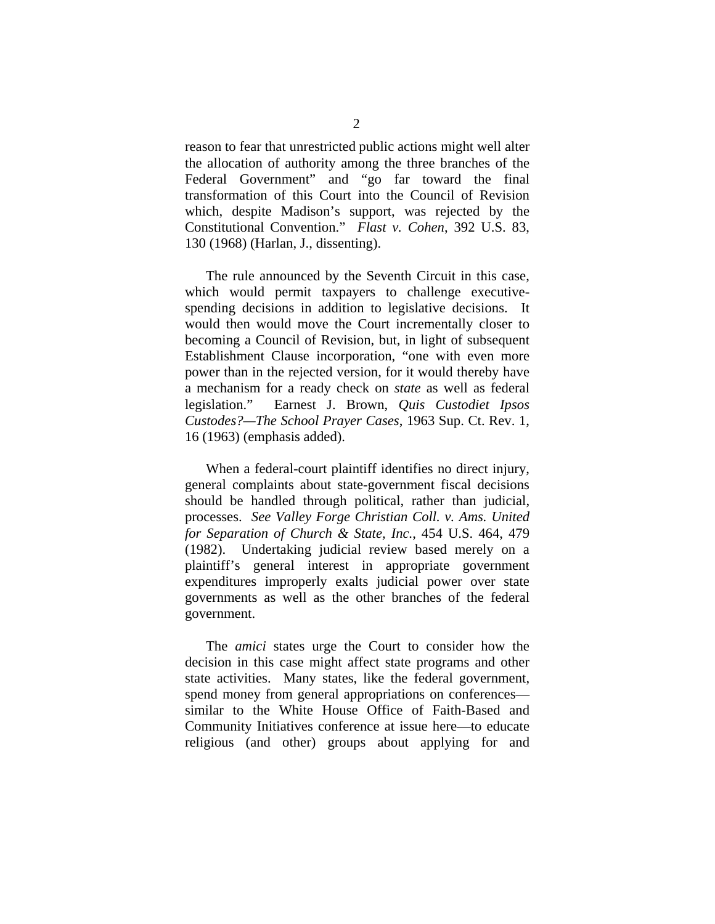reason to fear that unrestricted public actions might well alter the allocation of authority among the three branches of the Federal Government" and "go far toward the final transformation of this Court into the Council of Revision which, despite Madison's support, was rejected by the Constitutional Convention." *Flast v. Cohen*, 392 U.S. 83, 130 (1968) (Harlan, J., dissenting).

The rule announced by the Seventh Circuit in this case, which would permit taxpayers to challenge executivespending decisions in addition to legislative decisions. It would then would move the Court incrementally closer to becoming a Council of Revision, but, in light of subsequent Establishment Clause incorporation, "one with even more power than in the rejected version, for it would thereby have a mechanism for a ready check on *state* as well as federal legislation." Earnest J. Brown, *Quis Custodiet Ipsos Custodes?—The School Prayer Cases*, 1963 Sup. Ct. Rev. 1, 16 (1963) (emphasis added).

When a federal-court plaintiff identifies no direct injury, general complaints about state-government fiscal decisions should be handled through political, rather than judicial, processes. *See Valley Forge Christian Coll. v. Ams. United for Separation of Church & State, Inc.*, 454 U.S. 464, 479 (1982). Undertaking judicial review based merely on a plaintiff's general interest in appropriate government expenditures improperly exalts judicial power over state governments as well as the other branches of the federal government.

The *amici* states urge the Court to consider how the decision in this case might affect state programs and other state activities. Many states, like the federal government, spend money from general appropriations on conferences similar to the White House Office of Faith-Based and Community Initiatives conference at issue here—to educate religious (and other) groups about applying for and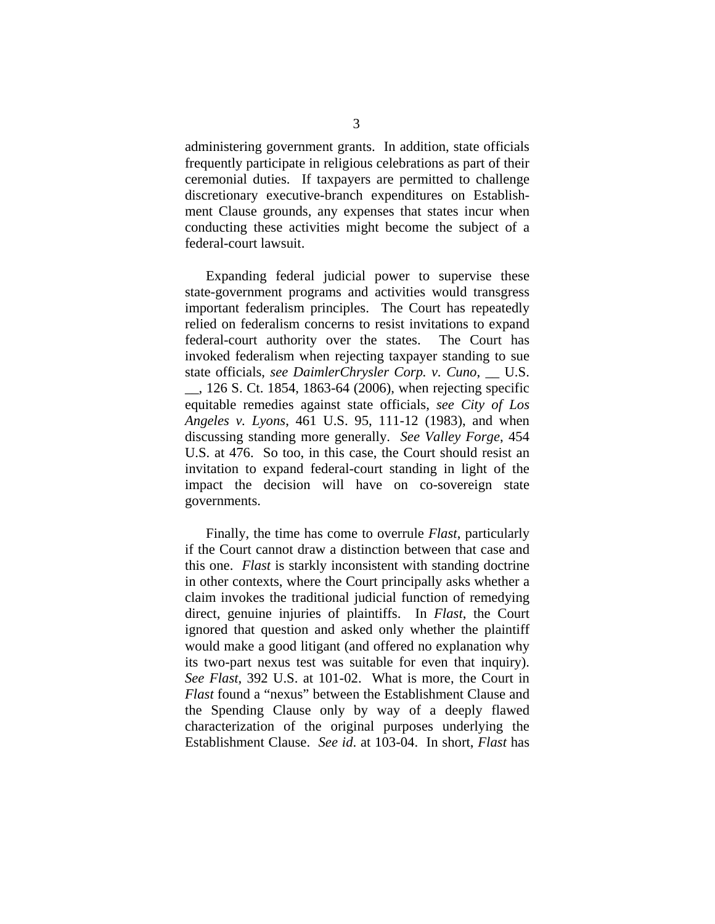administering government grants. In addition, state officials frequently participate in religious celebrations as part of their ceremonial duties. If taxpayers are permitted to challenge discretionary executive-branch expenditures on Establishment Clause grounds, any expenses that states incur when conducting these activities might become the subject of a federal-court lawsuit.

 Expanding federal judicial power to supervise these state-government programs and activities would transgress important federalism principles. The Court has repeatedly relied on federalism concerns to resist invitations to expand federal-court authority over the states. The Court has invoked federalism when rejecting taxpayer standing to sue state officials, *see DaimlerChrysler Corp. v. Cuno*, \_\_ U.S. \_\_, 126 S. Ct. 1854, 1863-64 (2006), when rejecting specific equitable remedies against state officials, *see City of Los Angeles v. Lyons*, 461 U.S. 95, 111-12 (1983), and when discussing standing more generally. *See Valley Forge*, 454 U.S. at 476. So too, in this case, the Court should resist an invitation to expand federal-court standing in light of the impact the decision will have on co-sovereign state governments.

Finally, the time has come to overrule *Flast*, particularly if the Court cannot draw a distinction between that case and this one. *Flast* is starkly inconsistent with standing doctrine in other contexts, where the Court principally asks whether a claim invokes the traditional judicial function of remedying direct, genuine injuries of plaintiffs. In *Flast*, the Court ignored that question and asked only whether the plaintiff would make a good litigant (and offered no explanation why its two-part nexus test was suitable for even that inquiry). *See Flast*, 392 U.S. at 101-02.What is more, the Court in *Flast* found a "nexus" between the Establishment Clause and the Spending Clause only by way of a deeply flawed characterization of the original purposes underlying the Establishment Clause. *See id*. at 103-04. In short, *Flast* has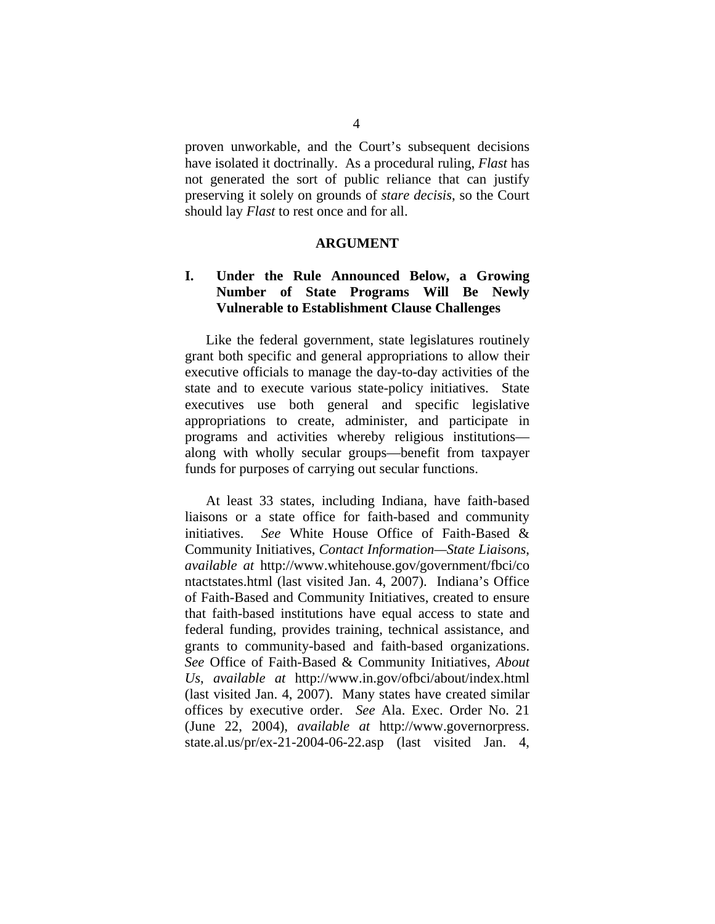proven unworkable, and the Court's subsequent decisions have isolated it doctrinally. As a procedural ruling, *Flast* has not generated the sort of public reliance that can justify preserving it solely on grounds of *stare decisis*, so the Court should lay *Flast* to rest once and for all.

#### **ARGUMENT**

### **I. Under the Rule Announced Below, a Growing Number of State Programs Will Be Newly Vulnerable to Establishment Clause Challenges**

Like the federal government, state legislatures routinely grant both specific and general appropriations to allow their executive officials to manage the day-to-day activities of the state and to execute various state-policy initiatives. State executives use both general and specific legislative appropriations to create, administer, and participate in programs and activities whereby religious institutions along with wholly secular groups—benefit from taxpayer funds for purposes of carrying out secular functions.

At least 33 states, including Indiana, have faith-based liaisons or a state office for faith-based and community initiatives. *See* White House Office of Faith-Based & Community Initiatives, *Contact Information—State Liaisons*, *available at* http://www.whitehouse.gov/government/fbci/co ntactstates.html (last visited Jan. 4, 2007). Indiana's Office of Faith-Based and Community Initiatives, created to ensure that faith-based institutions have equal access to state and federal funding, provides training, technical assistance, and grants to community-based and faith-based organizations. *See* Office of Faith-Based & Community Initiatives, *About Us*, *available at* http://www.in.gov/ofbci/about/index.html (last visited Jan. 4, 2007). Many states have created similar offices by executive order. *See* Ala. Exec. Order No. 21 (June 22, 2004), *available at* http://www.governorpress. state.al.us/pr/ex-21-2004-06-22.asp (last visited Jan. 4,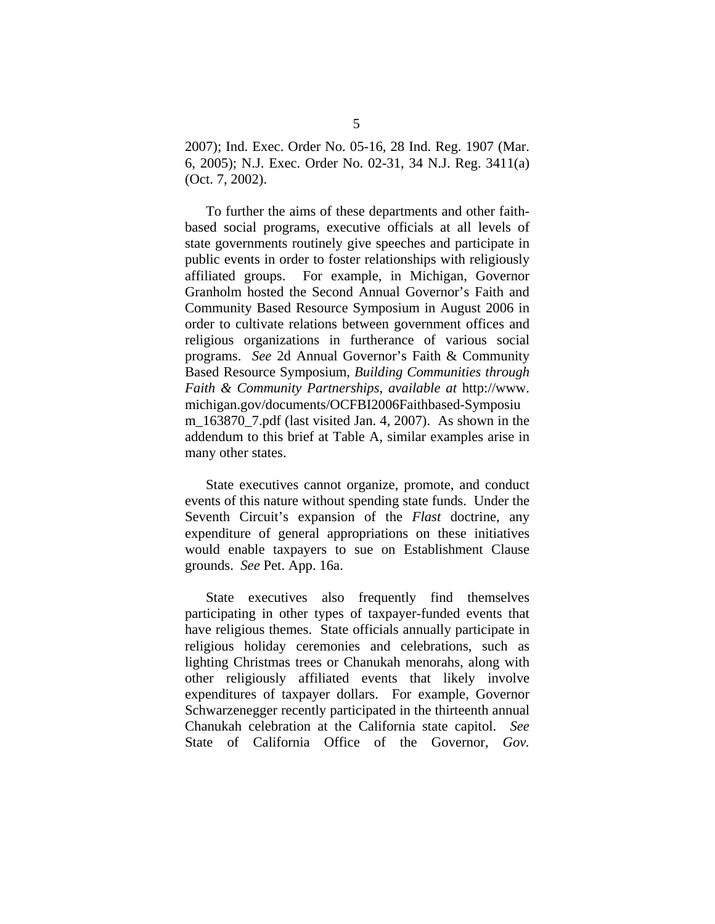2007); Ind. Exec. Order No. 05-16, 28 Ind. Reg. 1907 (Mar. 6, 2005); N.J. Exec. Order No. 02-31, 34 N.J. Reg. 3411(a) (Oct. 7, 2002).

To further the aims of these departments and other faithbased social programs, executive officials at all levels of state governments routinely give speeches and participate in public events in order to foster relationships with religiously affiliated groups. For example, in Michigan, Governor Granholm hosted the Second Annual Governor's Faith and Community Based Resource Symposium in August 2006 in order to cultivate relations between government offices and religious organizations in furtherance of various social programs. *See* 2d Annual Governor's Faith & Community Based Resource Symposium, *Building Communities through Faith & Community Partnerships*, *available at* http://www. michigan.gov/documents/OCFBI2006Faithbased-Symposiu m  $163870$  7.pdf (last visited Jan. 4, 2007). As shown in the addendum to this brief at Table A, similar examples arise in many other states.

State executives cannot organize, promote, and conduct events of this nature without spending state funds. Under the Seventh Circuit's expansion of the *Flast* doctrine, any expenditure of general appropriations on these initiatives would enable taxpayers to sue on Establishment Clause grounds. *See* Pet. App. 16a.

State executives also frequently find themselves participating in other types of taxpayer-funded events that have religious themes. State officials annually participate in religious holiday ceremonies and celebrations, such as lighting Christmas trees or Chanukah menorahs, along with other religiously affiliated events that likely involve expenditures of taxpayer dollars. For example, Governor Schwarzenegger recently participated in the thirteenth annual Chanukah celebration at the California state capitol. *See*  State of California Office of the Governor, *Gov.*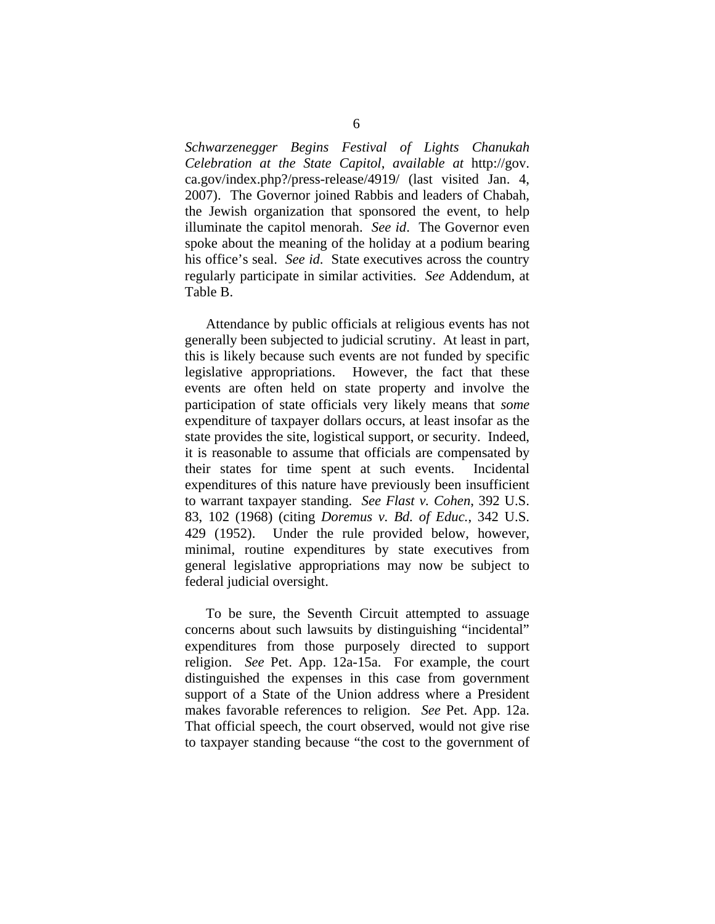*Schwarzenegger Begins Festival of Lights Chanukah Celebration at the State Capitol*, *available at* http://gov. ca.gov/index.php?/press-release/4919/ (last visited Jan. 4, 2007). The Governor joined Rabbis and leaders of Chabah, the Jewish organization that sponsored the event, to help illuminate the capitol menorah. *See id*.The Governor even spoke about the meaning of the holiday at a podium bearing his office's seal. *See id.* State executives across the country regularly participate in similar activities. *See* Addendum, at Table B.

Attendance by public officials at religious events has not generally been subjected to judicial scrutiny. At least in part, this is likely because such events are not funded by specific legislative appropriations. However, the fact that these events are often held on state property and involve the participation of state officials very likely means that *some*  expenditure of taxpayer dollars occurs, at least insofar as the state provides the site, logistical support, or security. Indeed, it is reasonable to assume that officials are compensated by their states for time spent at such events. Incidental expenditures of this nature have previously been insufficient to warrant taxpayer standing. *See Flast v. Cohen*, 392 U.S. 83, 102 (1968) (citing *Doremus v. Bd. of Educ.*, 342 U.S. 429 (1952). Under the rule provided below, however, minimal, routine expenditures by state executives from general legislative appropriations may now be subject to federal judicial oversight.

To be sure, the Seventh Circuit attempted to assuage concerns about such lawsuits by distinguishing "incidental" expenditures from those purposely directed to support religion. *See* Pet. App. 12a-15a.For example, the court distinguished the expenses in this case from government support of a State of the Union address where a President makes favorable references to religion. *See* Pet. App. 12a. That official speech, the court observed, would not give rise to taxpayer standing because "the cost to the government of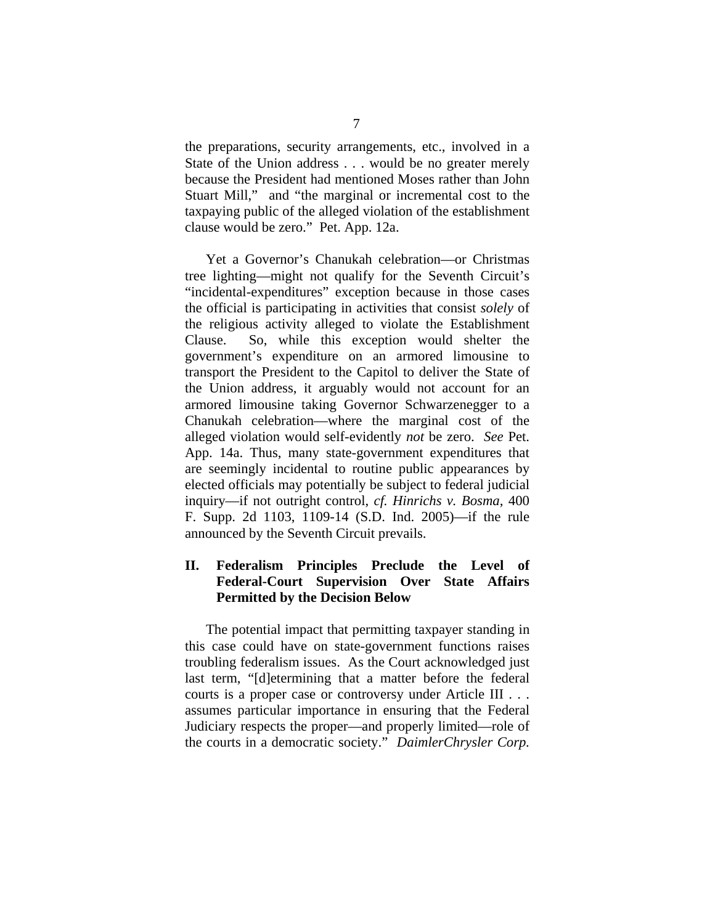the preparations, security arrangements, etc., involved in a State of the Union address . . . would be no greater merely because the President had mentioned Moses rather than John Stuart Mill," and "the marginal or incremental cost to the taxpaying public of the alleged violation of the establishment clause would be zero." Pet. App. 12a.

Yet a Governor's Chanukah celebration—or Christmas tree lighting—might not qualify for the Seventh Circuit's "incidental-expenditures" exception because in those cases the official is participating in activities that consist *solely* of the religious activity alleged to violate the Establishment Clause. So, while this exception would shelter the government's expenditure on an armored limousine to transport the President to the Capitol to deliver the State of the Union address, it arguably would not account for an armored limousine taking Governor Schwarzenegger to a Chanukah celebration—where the marginal cost of the alleged violation would self-evidently *not* be zero. *See* Pet. App. 14a. Thus, many state-government expenditures that are seemingly incidental to routine public appearances by elected officials may potentially be subject to federal judicial inquiry—if not outright control, *cf. Hinrichs v. Bosma*, 400 F. Supp. 2d 1103, 1109-14 (S.D. Ind. 2005)—if the rule announced by the Seventh Circuit prevails.

### **II. Federalism Principles Preclude the Level of Federal-Court Supervision Over State Affairs Permitted by the Decision Below**

The potential impact that permitting taxpayer standing in this case could have on state-government functions raises troubling federalism issues. As the Court acknowledged just last term, "[d]etermining that a matter before the federal courts is a proper case or controversy under Article III . . . assumes particular importance in ensuring that the Federal Judiciary respects the proper—and properly limited—role of the courts in a democratic society." *DaimlerChrysler Corp.*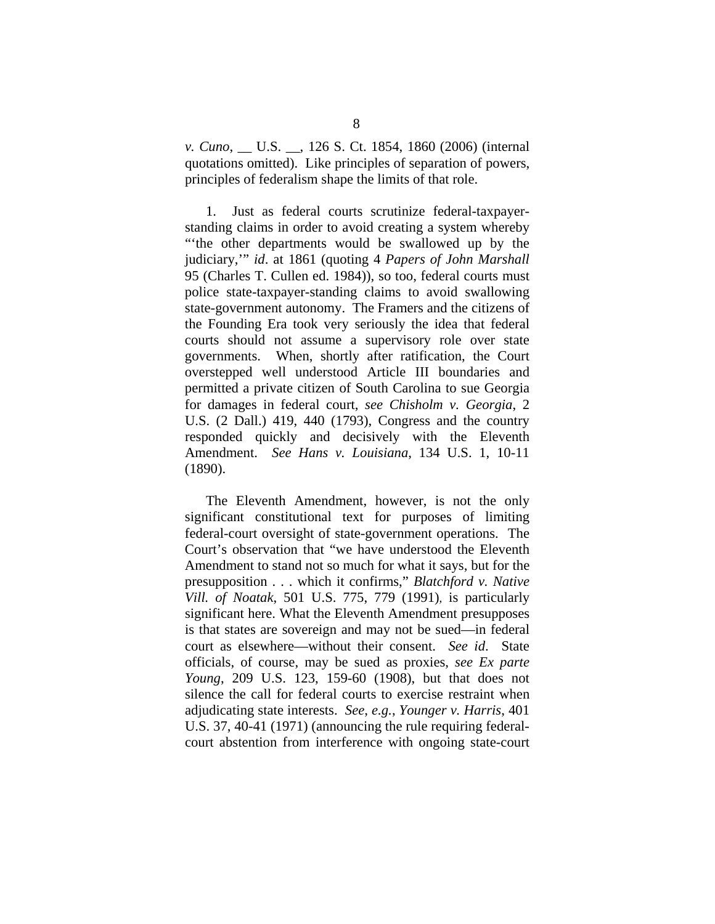*v. Cuno*, \_\_ U.S. \_\_, 126 S. Ct. 1854, 1860 (2006) (internal quotations omitted). Like principles of separation of powers, principles of federalism shape the limits of that role.

1. Just as federal courts scrutinize federal-taxpayerstanding claims in order to avoid creating a system whereby "'the other departments would be swallowed up by the judiciary,'" *id*. at 1861 (quoting 4 *Papers of John Marshall* 95 (Charles T. Cullen ed. 1984)), so too, federal courts must police state-taxpayer-standing claims to avoid swallowing state-government autonomy. The Framers and the citizens of the Founding Era took very seriously the idea that federal courts should not assume a supervisory role over state governments. When, shortly after ratification, the Court overstepped well understood Article III boundaries and permitted a private citizen of South Carolina to sue Georgia for damages in federal court, *see Chisholm v. Georgia*, 2 U.S. (2 Dall.) 419, 440 (1793), Congress and the country responded quickly and decisively with the Eleventh Amendment. *See Hans v. Louisiana*, 134 U.S. 1, 10-11 (1890).

The Eleventh Amendment, however, is not the only significant constitutional text for purposes of limiting federal-court oversight of state-government operations. The Court's observation that "we have understood the Eleventh Amendment to stand not so much for what it says, but for the presupposition . . . which it confirms," *Blatchford v. Native Vill. of Noatak*, 501 U.S. 775, 779 (1991), is particularly significant here. What the Eleventh Amendment presupposes is that states are sovereign and may not be sued—in federal court as elsewhere—without their consent. *See id*. State officials, of course, may be sued as proxies, *see Ex parte Young*, 209 U.S. 123, 159-60 (1908), but that does not silence the call for federal courts to exercise restraint when adjudicating state interests. *See*, *e.g.*, *Younger v. Harris*, 401 U.S. 37, 40-41 (1971) (announcing the rule requiring federalcourt abstention from interference with ongoing state-court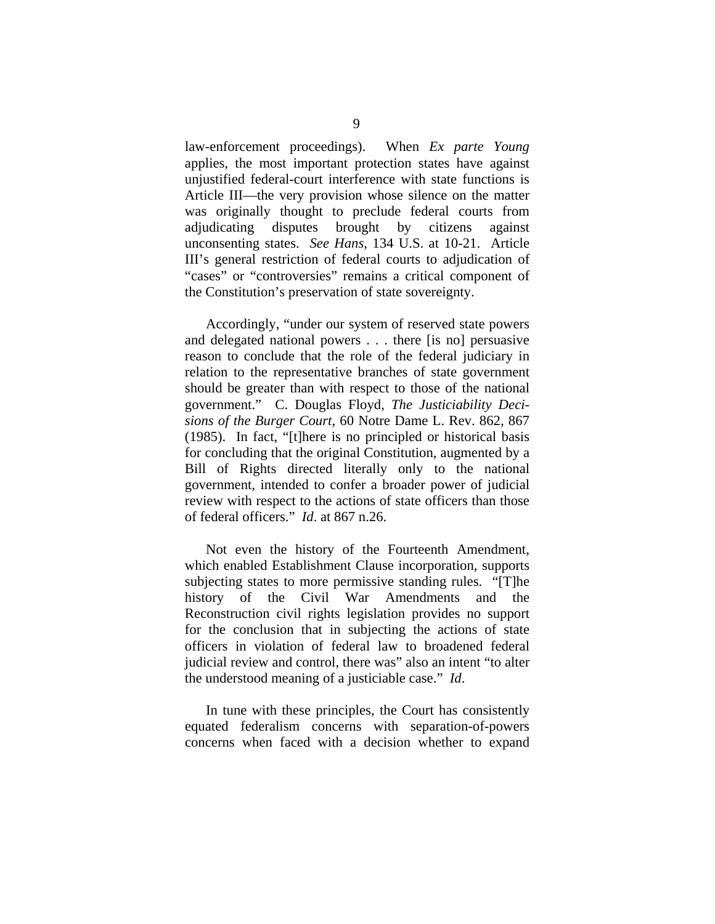law-enforcement proceedings).When *Ex parte Young* applies, the most important protection states have against unjustified federal-court interference with state functions is Article III—the very provision whose silence on the matter was originally thought to preclude federal courts from adjudicating disputes brought by citizens against unconsenting states. *See Hans*, 134 U.S. at 10-21. Article III's general restriction of federal courts to adjudication of "cases" or "controversies" remains a critical component of the Constitution's preservation of state sovereignty.

Accordingly, "under our system of reserved state powers and delegated national powers . . . there [is no] persuasive reason to conclude that the role of the federal judiciary in relation to the representative branches of state government should be greater than with respect to those of the national government." C. Douglas Floyd, *The Justiciability Decisions of the Burger Court*, 60 Notre Dame L. Rev. 862, 867 (1985). In fact, "[t]here is no principled or historical basis for concluding that the original Constitution, augmented by a Bill of Rights directed literally only to the national government, intended to confer a broader power of judicial review with respect to the actions of state officers than those of federal officers." *Id*. at 867 n.26.

Not even the history of the Fourteenth Amendment, which enabled Establishment Clause incorporation, supports subjecting states to more permissive standing rules. "[T]he history of the Civil War Amendments and the Reconstruction civil rights legislation provides no support for the conclusion that in subjecting the actions of state officers in violation of federal law to broadened federal judicial review and control, there was" also an intent "to alter the understood meaning of a justiciable case." *Id*.

In tune with these principles, the Court has consistently equated federalism concerns with separation-of-powers concerns when faced with a decision whether to expand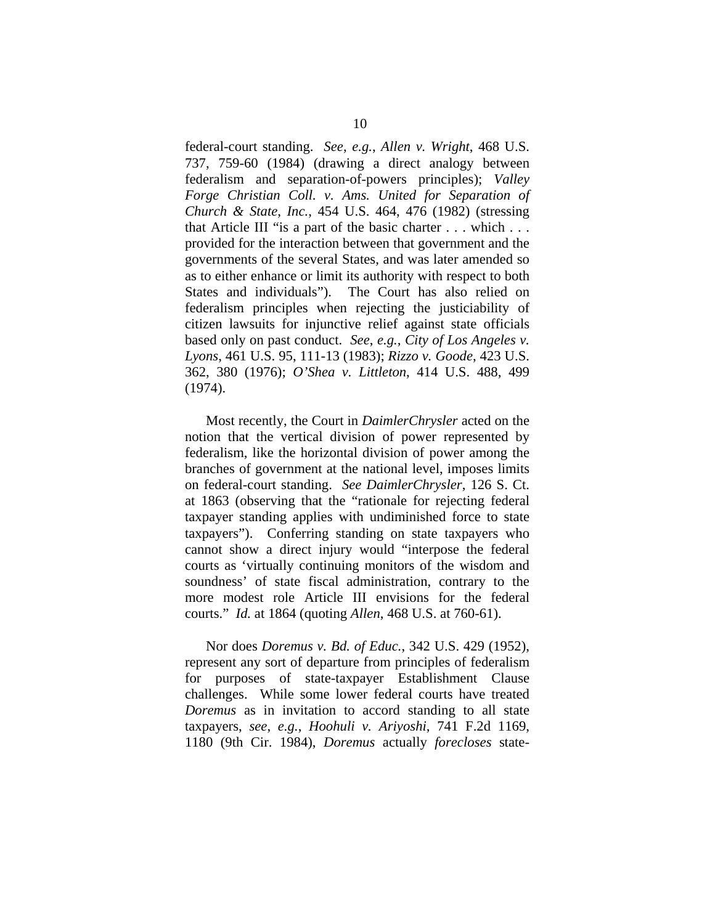federal-court standing. *See*, *e.g.*, *Allen v. Wright*, 468 U.S. 737, 759-60 (1984) (drawing a direct analogy between federalism and separation-of-powers principles); *Valley Forge Christian Coll. v. Ams. United for Separation of Church & State*, *Inc.*, 454 U.S. 464, 476 (1982) (stressing that Article III "is a part of the basic charter . . . which . . . provided for the interaction between that government and the governments of the several States, and was later amended so as to either enhance or limit its authority with respect to both States and individuals"). The Court has also relied on federalism principles when rejecting the justiciability of citizen lawsuits for injunctive relief against state officials based only on past conduct. *See*, *e.g.*, *City of Los Angeles v. Lyons*, 461 U.S. 95, 111-13 (1983); *Rizzo v. Goode*, 423 U.S. 362, 380 (1976); *O'Shea v. Littleton*, 414 U.S. 488, 499 (1974).

Most recently, the Court in *DaimlerChrysler* acted on the notion that the vertical division of power represented by federalism, like the horizontal division of power among the branches of government at the national level, imposes limits on federal-court standing. *See DaimlerChrysler*, 126 S. Ct. at 1863 (observing that the "rationale for rejecting federal taxpayer standing applies with undiminished force to state taxpayers"). Conferring standing on state taxpayers who cannot show a direct injury would "interpose the federal courts as 'virtually continuing monitors of the wisdom and soundness' of state fiscal administration, contrary to the more modest role Article III envisions for the federal courts." *Id.* at 1864 (quoting *Allen*, 468 U.S. at 760-61).

Nor does *Doremus v. Bd. of Educ.*, 342 U.S. 429 (1952), represent any sort of departure from principles of federalism for purposes of state-taxpayer Establishment Clause challenges. While some lower federal courts have treated *Doremus* as in invitation to accord standing to all state taxpayers, *see*, *e.g.*, *Hoohuli v. Ariyoshi*, 741 F.2d 1169, 1180 (9th Cir. 1984), *Doremus* actually *forecloses* state-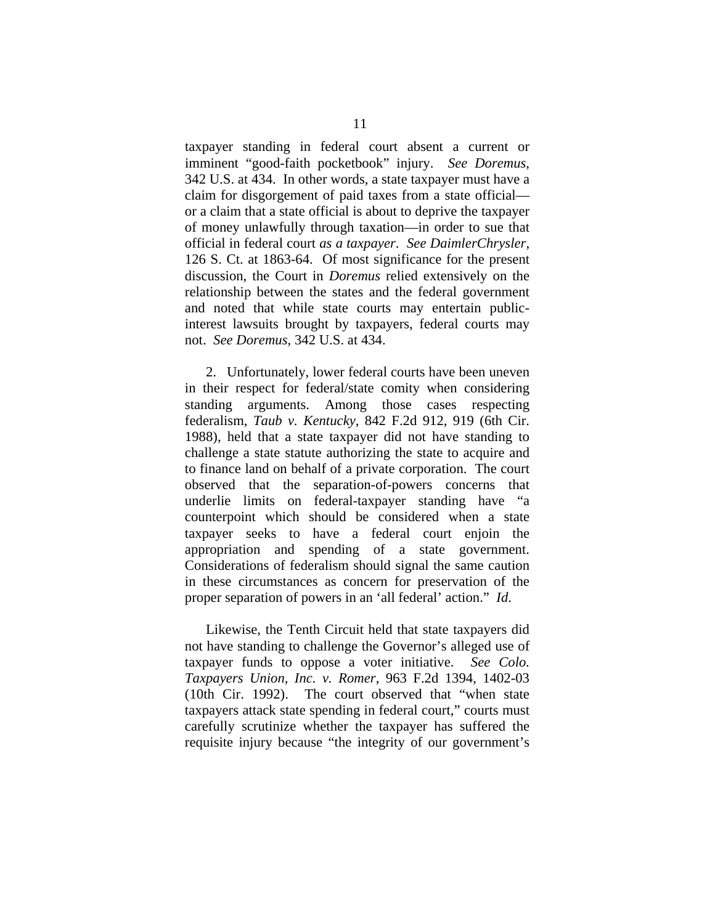taxpayer standing in federal court absent a current or imminent "good-faith pocketbook" injury. *See Doremus*, 342 U.S. at 434. In other words, a state taxpayer must have a claim for disgorgement of paid taxes from a state official or a claim that a state official is about to deprive the taxpayer of money unlawfully through taxation—in order to sue that official in federal court *as a taxpayer*. *See DaimlerChrysler*, 126 S. Ct. at 1863-64. Of most significance for the present discussion, the Court in *Doremus* relied extensively on the relationship between the states and the federal government and noted that while state courts may entertain publicinterest lawsuits brought by taxpayers, federal courts may not. *See Doremus*, 342 U.S. at 434.

2. Unfortunately, lower federal courts have been uneven in their respect for federal/state comity when considering standing arguments. Among those cases respecting federalism, *Taub v. Kentucky*, 842 F.2d 912, 919 (6th Cir. 1988), held that a state taxpayer did not have standing to challenge a state statute authorizing the state to acquire and to finance land on behalf of a private corporation. The court observed that the separation-of-powers concerns that underlie limits on federal-taxpayer standing have "a counterpoint which should be considered when a state taxpayer seeks to have a federal court enjoin the appropriation and spending of a state government. Considerations of federalism should signal the same caution in these circumstances as concern for preservation of the proper separation of powers in an 'all federal' action." *Id*.

Likewise, the Tenth Circuit held that state taxpayers did not have standing to challenge the Governor's alleged use of taxpayer funds to oppose a voter initiative. *See Colo. Taxpayers Union, Inc. v. Romer*, 963 F.2d 1394, 1402-03 (10th Cir. 1992). The court observed that "when state taxpayers attack state spending in federal court," courts must carefully scrutinize whether the taxpayer has suffered the requisite injury because "the integrity of our government's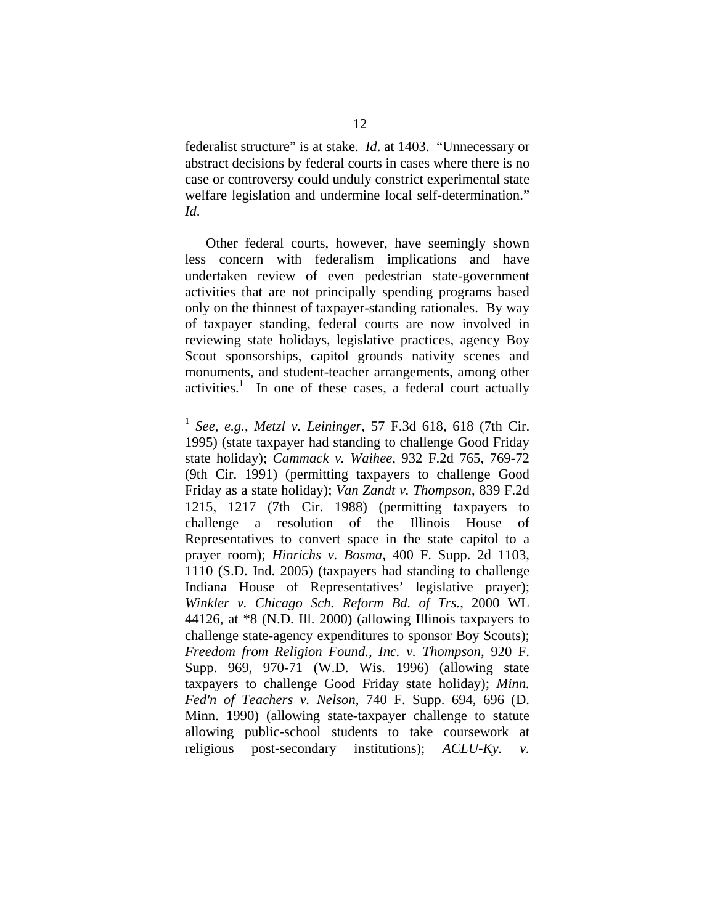federalist structure" is at stake. *Id*. at 1403. "Unnecessary or abstract decisions by federal courts in cases where there is no case or controversy could unduly constrict experimental state welfare legislation and undermine local self-determination." *Id*.

Other federal courts, however, have seemingly shown less concern with federalism implications and have undertaken review of even pedestrian state-government activities that are not principally spending programs based only on the thinnest of taxpayer-standing rationales. By way of taxpayer standing, federal courts are now involved in reviewing state holidays, legislative practices, agency Boy Scout sponsorships, capitol grounds nativity scenes and monuments, and student-teacher arrangements, among other activities.<sup>1</sup> In one of these cases, a federal court actually

 $\overline{a}$ 

<sup>1</sup> *See*, *e.g.*, *Metzl v. Leininger*, 57 F.3d 618, 618 (7th Cir. 1995) (state taxpayer had standing to challenge Good Friday state holiday); *Cammack v. Waihee*, 932 F.2d 765, 769-72 (9th Cir. 1991) (permitting taxpayers to challenge Good Friday as a state holiday); *Van Zandt v. Thompson*, 839 F.2d 1215, 1217 (7th Cir. 1988) (permitting taxpayers to challenge a resolution of the Illinois House of Representatives to convert space in the state capitol to a prayer room); *Hinrichs v. Bosma*, 400 F. Supp. 2d 1103, 1110 (S.D. Ind. 2005) (taxpayers had standing to challenge Indiana House of Representatives' legislative prayer); *Winkler v. Chicago Sch. Reform Bd. of Trs.*, 2000 WL 44126, at \*8 (N.D. Ill. 2000) (allowing Illinois taxpayers to challenge state-agency expenditures to sponsor Boy Scouts); *Freedom from Religion Found., Inc. v. Thompson*, 920 F. Supp. 969, 970-71 (W.D. Wis. 1996) (allowing state taxpayers to challenge Good Friday state holiday); *Minn. Fed'n of Teachers v. Nelson*, 740 F. Supp. 694, 696 (D. Minn. 1990) (allowing state-taxpayer challenge to statute allowing public-school students to take coursework at religious post-secondary institutions); *ACLU-Ky. v.*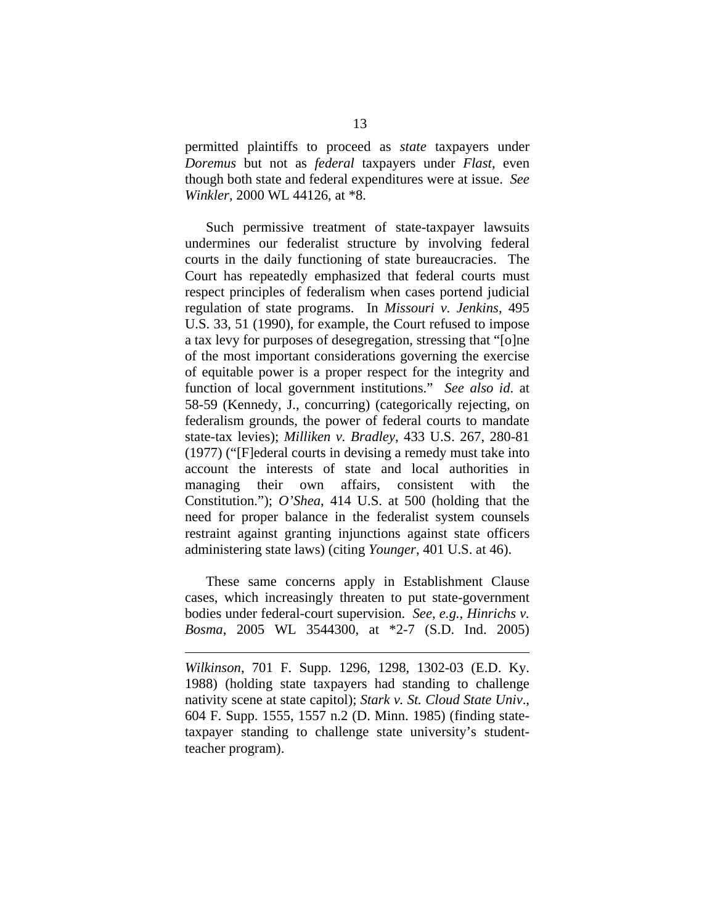permitted plaintiffs to proceed as *state* taxpayers under *Doremus* but not as *federal* taxpayers under *Flast*, even though both state and federal expenditures were at issue. *See Winkler*, 2000 WL 44126, at \*8.

Such permissive treatment of state-taxpayer lawsuits undermines our federalist structure by involving federal courts in the daily functioning of state bureaucracies. The Court has repeatedly emphasized that federal courts must respect principles of federalism when cases portend judicial regulation of state programs. In *Missouri v. Jenkins*, 495 U.S. 33, 51 (1990), for example, the Court refused to impose a tax levy for purposes of desegregation, stressing that "[o]ne of the most important considerations governing the exercise of equitable power is a proper respect for the integrity and function of local government institutions." *See also id*. at 58-59 (Kennedy, J., concurring) (categorically rejecting, on federalism grounds, the power of federal courts to mandate state-tax levies); *Milliken v. Bradley*, 433 U.S. 267, 280-81 (1977) ("[F]ederal courts in devising a remedy must take into account the interests of state and local authorities in managing their own affairs, consistent with the Constitution."); *O'Shea*, 414 U.S. at 500 (holding that the need for proper balance in the federalist system counsels restraint against granting injunctions against state officers administering state laws) (citing *Younger*, 401 U.S. at 46).

These same concerns apply in Establishment Clause cases, which increasingly threaten to put state-government bodies under federal-court supervision. *See*, *e.g.*, *Hinrichs v. Bosma*, 2005 WL 3544300, at \*2-7 (S.D. Ind. 2005)

 $\overline{a}$ 

*Wilkinson*, 701 F. Supp. 1296, 1298, 1302-03 (E.D. Ky. 1988) (holding state taxpayers had standing to challenge nativity scene at state capitol); *Stark v. St. Cloud State Univ*., 604 F. Supp. 1555, 1557 n.2 (D. Minn. 1985) (finding statetaxpayer standing to challenge state university's studentteacher program).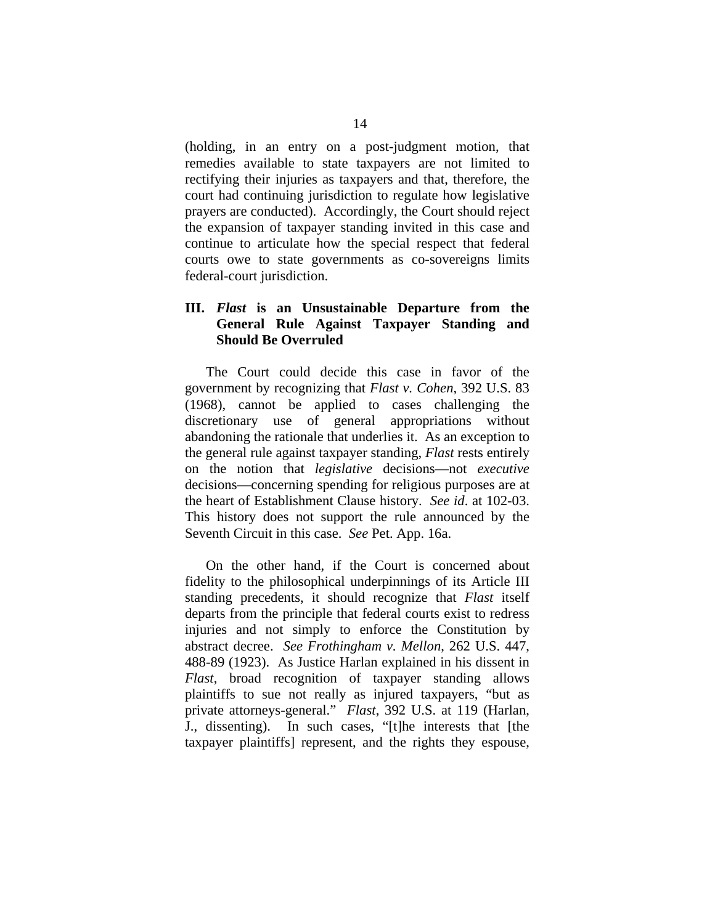(holding, in an entry on a post-judgment motion, that remedies available to state taxpayers are not limited to rectifying their injuries as taxpayers and that, therefore, the court had continuing jurisdiction to regulate how legislative prayers are conducted). Accordingly, the Court should reject the expansion of taxpayer standing invited in this case and continue to articulate how the special respect that federal courts owe to state governments as co-sovereigns limits federal-court jurisdiction.

### **III.** *Flast* **is an Unsustainable Departure from the General Rule Against Taxpayer Standing and Should Be Overruled**

The Court could decide this case in favor of the government by recognizing that *Flast v. Cohen*, 392 U.S. 83 (1968), cannot be applied to cases challenging the discretionary use of general appropriations without abandoning the rationale that underlies it. As an exception to the general rule against taxpayer standing, *Flast* rests entirely on the notion that *legislative* decisions—not *executive*  decisions—concerning spending for religious purposes are at the heart of Establishment Clause history. *See id*. at 102-03. This history does not support the rule announced by the Seventh Circuit in this case. *See* Pet. App. 16a.

On the other hand, if the Court is concerned about fidelity to the philosophical underpinnings of its Article III standing precedents, it should recognize that *Flast* itself departs from the principle that federal courts exist to redress injuries and not simply to enforce the Constitution by abstract decree. *See Frothingham v. Mellon*, 262 U.S. 447, 488-89 (1923). As Justice Harlan explained in his dissent in *Flast*, broad recognition of taxpayer standing allows plaintiffs to sue not really as injured taxpayers, "but as private attorneys-general." *Flast*, 392 U.S. at 119 (Harlan, J., dissenting). In such cases, "[t]he interests that [the taxpayer plaintiffs] represent, and the rights they espouse,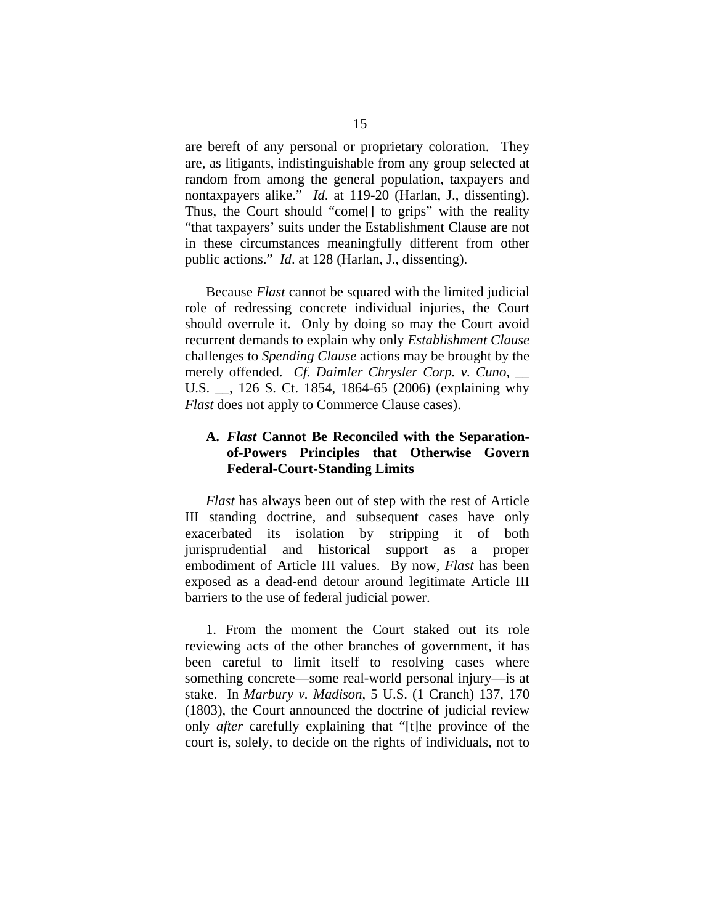are bereft of any personal or proprietary coloration. They are, as litigants, indistinguishable from any group selected at random from among the general population, taxpayers and nontaxpayers alike." *Id*. at 119-20 (Harlan, J., dissenting). Thus, the Court should "come[] to grips" with the reality "that taxpayers' suits under the Establishment Clause are not in these circumstances meaningfully different from other public actions." *Id*. at 128 (Harlan, J., dissenting).

Because *Flast* cannot be squared with the limited judicial role of redressing concrete individual injuries, the Court should overrule it. Only by doing so may the Court avoid recurrent demands to explain why only *Establishment Clause* challenges to *Spending Clause* actions may be brought by the merely offended. *Cf. Daimler Chrysler Corp. v. Cuno*, \_\_ U.S. \_\_, 126 S. Ct. 1854, 1864-65 (2006) (explaining why *Flast* does not apply to Commerce Clause cases).

### **A.** *Flast* **Cannot Be Reconciled with the Separationof-Powers Principles that Otherwise Govern Federal-Court-Standing Limits**

*Flast* has always been out of step with the rest of Article III standing doctrine, and subsequent cases have only exacerbated its isolation by stripping it of both jurisprudential and historical support as a proper embodiment of Article III values. By now, *Flast* has been exposed as a dead-end detour around legitimate Article III barriers to the use of federal judicial power.

1. From the moment the Court staked out its role reviewing acts of the other branches of government, it has been careful to limit itself to resolving cases where something concrete—some real-world personal injury—is at stake. In *Marbury v. Madison*, 5 U.S. (1 Cranch) 137, 170 (1803), the Court announced the doctrine of judicial review only *after* carefully explaining that "[t]he province of the court is, solely, to decide on the rights of individuals, not to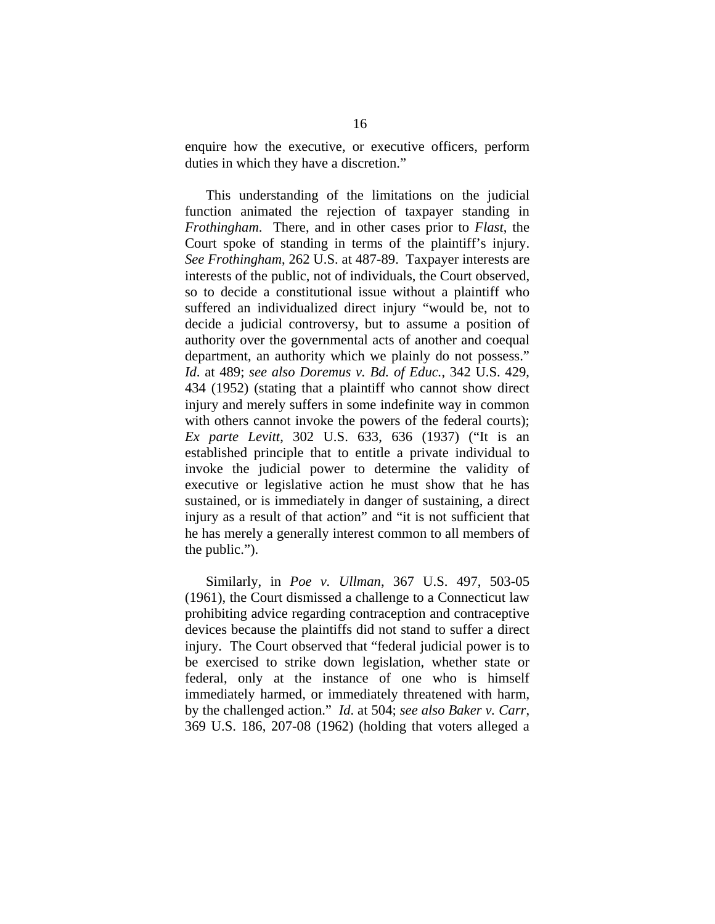enquire how the executive, or executive officers, perform duties in which they have a discretion."

This understanding of the limitations on the judicial function animated the rejection of taxpayer standing in *Frothingham*. There, and in other cases prior to *Flast*, the Court spoke of standing in terms of the plaintiff's injury. *See Frothingham*, 262 U.S. at 487-89. Taxpayer interests are interests of the public, not of individuals, the Court observed, so to decide a constitutional issue without a plaintiff who suffered an individualized direct injury "would be, not to decide a judicial controversy, but to assume a position of authority over the governmental acts of another and coequal department, an authority which we plainly do not possess." *Id*. at 489; *see also Doremus v. Bd. of Educ.*, 342 U.S. 429, 434 (1952) (stating that a plaintiff who cannot show direct injury and merely suffers in some indefinite way in common with others cannot invoke the powers of the federal courts); *Ex parte Levitt*, 302 U.S. 633, 636 (1937) ("It is an established principle that to entitle a private individual to invoke the judicial power to determine the validity of executive or legislative action he must show that he has sustained, or is immediately in danger of sustaining, a direct injury as a result of that action" and "it is not sufficient that he has merely a generally interest common to all members of the public.").

Similarly, in *Poe v. Ullman*, 367 U.S. 497, 503-05 (1961), the Court dismissed a challenge to a Connecticut law prohibiting advice regarding contraception and contraceptive devices because the plaintiffs did not stand to suffer a direct injury. The Court observed that "federal judicial power is to be exercised to strike down legislation, whether state or federal, only at the instance of one who is himself immediately harmed, or immediately threatened with harm, by the challenged action." *Id*. at 504; *see also Baker v. Carr*, 369 U.S. 186, 207-08 (1962) (holding that voters alleged a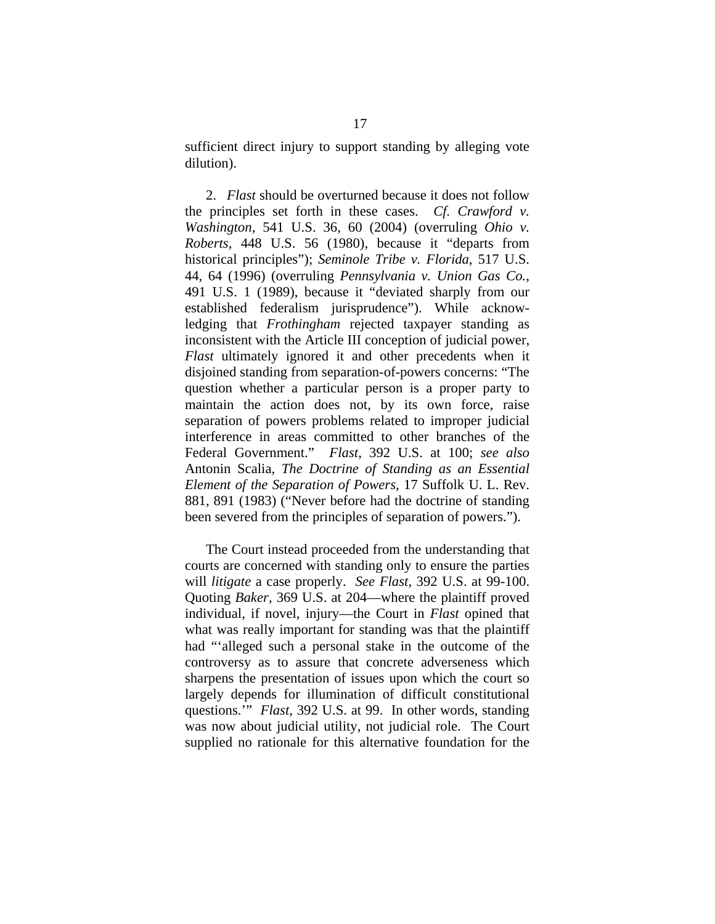sufficient direct injury to support standing by alleging vote dilution).

2. *Flast* should be overturned because it does not follow the principles set forth in these cases. *Cf. Crawford v. Washington*, 541 U.S. 36, 60 (2004) (overruling *Ohio v. Roberts*, 448 U.S. 56 (1980), because it "departs from historical principles"); *Seminole Tribe v. Florida*, 517 U.S. 44, 64 (1996) (overruling *Pennsylvania v. Union Gas Co.*, 491 U.S. 1 (1989), because it "deviated sharply from our established federalism jurisprudence"). While acknowledging that *Frothingham* rejected taxpayer standing as inconsistent with the Article III conception of judicial power, *Flast* ultimately ignored it and other precedents when it disjoined standing from separation-of-powers concerns: "The question whether a particular person is a proper party to maintain the action does not, by its own force, raise separation of powers problems related to improper judicial interference in areas committed to other branches of the Federal Government." *Flast*, 392 U.S. at 100; *see also*  Antonin Scalia, *The Doctrine of Standing as an Essential Element of the Separation of Powers*, 17 Suffolk U. L. Rev. 881, 891 (1983) ("Never before had the doctrine of standing been severed from the principles of separation of powers.").

The Court instead proceeded from the understanding that courts are concerned with standing only to ensure the parties will *litigate* a case properly. *See Flast*, 392 U.S. at 99-100. Quoting *Baker*, 369 U.S. at 204—where the plaintiff proved individual, if novel, injury—the Court in *Flast* opined that what was really important for standing was that the plaintiff had "'alleged such a personal stake in the outcome of the controversy as to assure that concrete adverseness which sharpens the presentation of issues upon which the court so largely depends for illumination of difficult constitutional questions.'" *Flast*, 392 U.S. at 99. In other words, standing was now about judicial utility, not judicial role. The Court supplied no rationale for this alternative foundation for the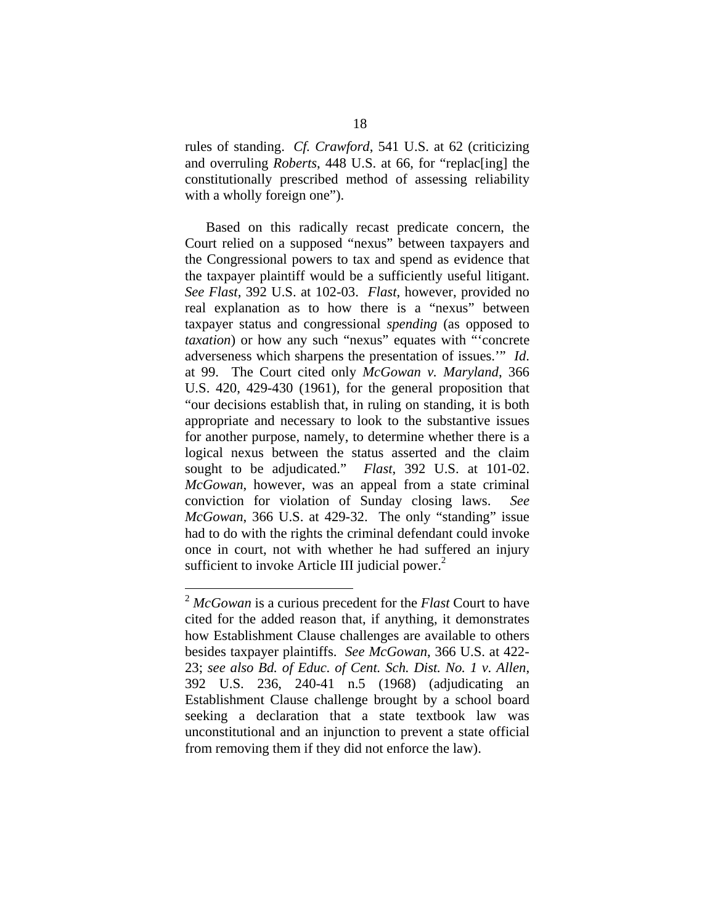rules of standing. *Cf. Crawford*, 541 U.S. at 62 (criticizing and overruling *Roberts*, 448 U.S. at 66, for "replac[ing] the constitutionally prescribed method of assessing reliability with a wholly foreign one").

Based on this radically recast predicate concern, the Court relied on a supposed "nexus" between taxpayers and the Congressional powers to tax and spend as evidence that the taxpayer plaintiff would be a sufficiently useful litigant. *See Flast*, 392 U.S. at 102-03. *Flast*, however, provided no real explanation as to how there is a "nexus" between taxpayer status and congressional *spending* (as opposed to *taxation*) or how any such "nexus" equates with "'concrete adverseness which sharpens the presentation of issues.'" *Id*. at 99. The Court cited only *McGowan v. Maryland*, 366 U.S. 420, 429-430 (1961), for the general proposition that "our decisions establish that, in ruling on standing, it is both appropriate and necessary to look to the substantive issues for another purpose, namely, to determine whether there is a logical nexus between the status asserted and the claim sought to be adjudicated." *Flast*, 392 U.S. at 101-02. *McGowan*, however, was an appeal from a state criminal conviction for violation of Sunday closing laws. *See McGowan*, 366 U.S. at 429-32.The only "standing" issue had to do with the rights the criminal defendant could invoke once in court, not with whether he had suffered an injury sufficient to invoke Article III judicial power. $2$ 

 $\overline{a}$ 

<sup>2</sup> *McGowan* is a curious precedent for the *Flast* Court to have cited for the added reason that, if anything, it demonstrates how Establishment Clause challenges are available to others besides taxpayer plaintiffs. *See McGowan*, 366 U.S. at 422- 23; *see also Bd. of Educ. of Cent. Sch. Dist. No. 1 v. Allen*, 392 U.S. 236, 240-41 n.5 (1968) (adjudicating an Establishment Clause challenge brought by a school board seeking a declaration that a state textbook law was unconstitutional and an injunction to prevent a state official from removing them if they did not enforce the law).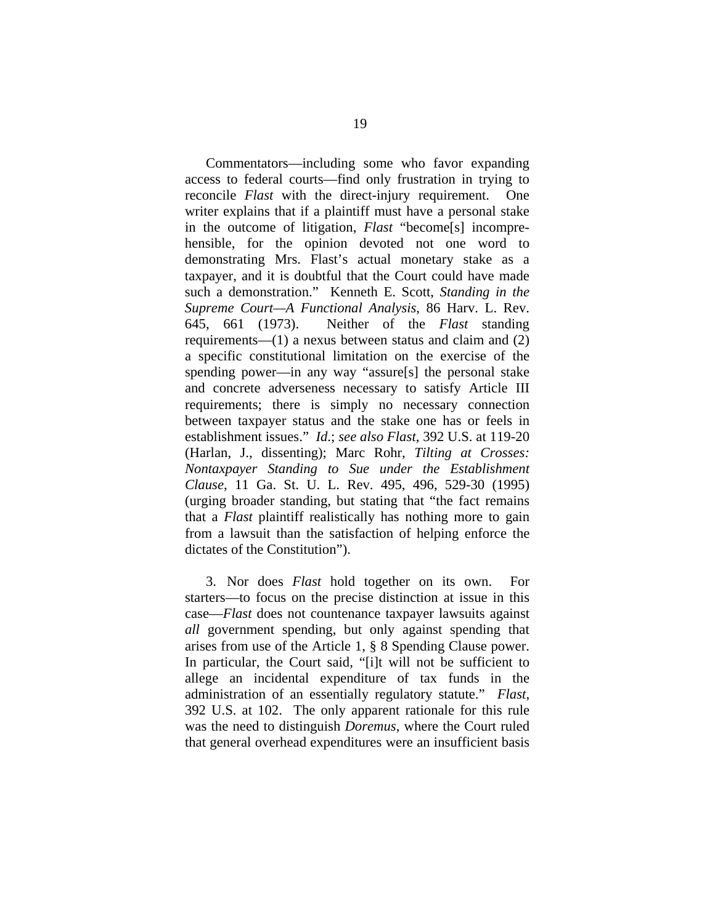Commentators—including some who favor expanding access to federal courts—find only frustration in trying to reconcile *Flast* with the direct-injury requirement. One writer explains that if a plaintiff must have a personal stake in the outcome of litigation, *Flast* "become[s] incomprehensible, for the opinion devoted not one word to demonstrating Mrs. Flast's actual monetary stake as a taxpayer, and it is doubtful that the Court could have made such a demonstration." Kenneth E. Scott, *Standing in the Supreme Court—A Functional Analysis*, 86 Harv. L. Rev. 645, 661 (1973). Neither of the *Flast* standing requirements—(1) a nexus between status and claim and (2) a specific constitutional limitation on the exercise of the spending power—in any way "assure[s] the personal stake and concrete adverseness necessary to satisfy Article III requirements; there is simply no necessary connection between taxpayer status and the stake one has or feels in establishment issues." *Id*.; *see also Flast*, 392 U.S. at 119-20 (Harlan, J., dissenting); Marc Rohr, *Tilting at Crosses: Nontaxpayer Standing to Sue under the Establishment Clause*, 11 Ga. St. U. L. Rev. 495, 496, 529-30 (1995) (urging broader standing, but stating that "the fact remains that a *Flast* plaintiff realistically has nothing more to gain from a lawsuit than the satisfaction of helping enforce the dictates of the Constitution").

3. Nor does *Flast* hold together on its own. For starters—to focus on the precise distinction at issue in this case—*Flast* does not countenance taxpayer lawsuits against *all* government spending, but only against spending that arises from use of the Article 1, § 8 Spending Clause power. In particular, the Court said, "[i]t will not be sufficient to allege an incidental expenditure of tax funds in the administration of an essentially regulatory statute." *Flast*, 392 U.S. at 102.The only apparent rationale for this rule was the need to distinguish *Doremus*, where the Court ruled that general overhead expenditures were an insufficient basis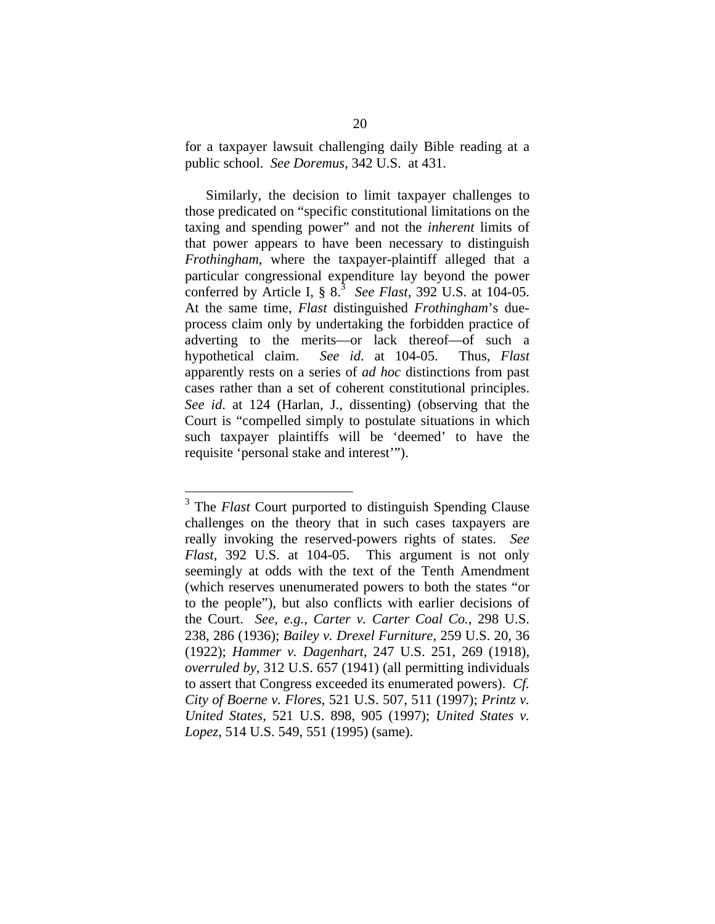for a taxpayer lawsuit challenging daily Bible reading at a public school. *See Doremus*, 342 U.S. at 431.

Similarly, the decision to limit taxpayer challenges to those predicated on "specific constitutional limitations on the taxing and spending power" and not the *inherent* limits of that power appears to have been necessary to distinguish *Frothingham*, where the taxpayer-plaintiff alleged that a particular congressional expenditure lay beyond the power conferred by Article I,  $\S 8.\overline{3}$  See Flast, 392 U.S. at 104-05. At the same time, *Flast* distinguished *Frothingham*'s dueprocess claim only by undertaking the forbidden practice of adverting to the merits—or lack thereof—of such a hypothetical claim. *See id*. at 104-05. Thus, *Flast* apparently rests on a series of *ad hoc* distinctions from past cases rather than a set of coherent constitutional principles. *See id*. at 124 (Harlan, J., dissenting) (observing that the Court is "compelled simply to postulate situations in which such taxpayer plaintiffs will be 'deemed' to have the requisite 'personal stake and interest'").

 $\overline{a}$ 

<sup>&</sup>lt;sup>3</sup> The *Flast* Court purported to distinguish Spending Clause challenges on the theory that in such cases taxpayers are really invoking the reserved-powers rights of states. *See Flast*, 392 U.S. at 104-05. This argument is not only seemingly at odds with the text of the Tenth Amendment (which reserves unenumerated powers to both the states "or to the people"), but also conflicts with earlier decisions of the Court. *See*, *e.g.*, *Carter v. Carter Coal Co.*, 298 U.S. 238, 286 (1936); *Bailey v. Drexel Furniture*, 259 U.S. 20, 36 (1922); *Hammer v. Dagenhart*, 247 U.S. 251, 269 (1918), *overruled by*, 312 U.S. 657 (1941) (all permitting individuals to assert that Congress exceeded its enumerated powers). *Cf. City of Boerne v. Flores*, 521 U.S. 507, 511 (1997); *Printz v. United States*, 521 U.S. 898, 905 (1997); *United States v. Lopez*, 514 U.S. 549, 551 (1995) (same).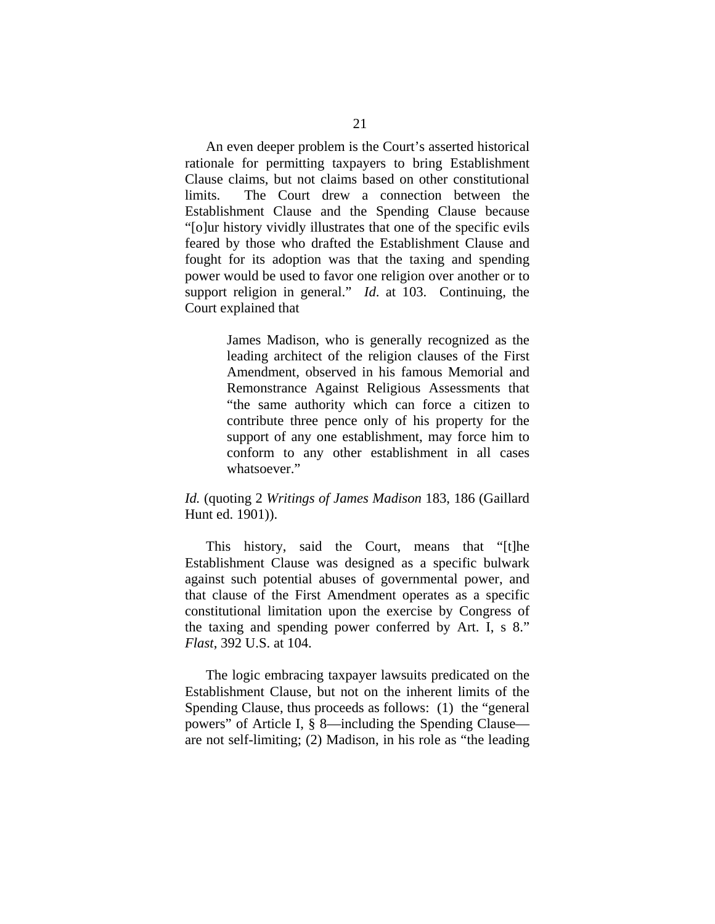An even deeper problem is the Court's asserted historical rationale for permitting taxpayers to bring Establishment Clause claims, but not claims based on other constitutional limits. The Court drew a connection between the Establishment Clause and the Spending Clause because "[o]ur history vividly illustrates that one of the specific evils feared by those who drafted the Establishment Clause and fought for its adoption was that the taxing and spending power would be used to favor one religion over another or to support religion in general." *Id*. at 103.Continuing, the Court explained that

> James Madison, who is generally recognized as the leading architect of the religion clauses of the First Amendment, observed in his famous Memorial and Remonstrance Against Religious Assessments that "the same authority which can force a citizen to contribute three pence only of his property for the support of any one establishment, may force him to conform to any other establishment in all cases whatsoever."

### *Id.* (quoting 2 *Writings of James Madison* 183, 186 (Gaillard Hunt ed. 1901)).

This history, said the Court, means that "[t]he Establishment Clause was designed as a specific bulwark against such potential abuses of governmental power, and that clause of the First Amendment operates as a specific constitutional limitation upon the exercise by Congress of the taxing and spending power conferred by Art. I, s 8." *Flast*, 392 U.S. at 104.

The logic embracing taxpayer lawsuits predicated on the Establishment Clause, but not on the inherent limits of the Spending Clause, thus proceeds as follows: (1) the "general powers" of Article I, § 8—including the Spending Clause are not self-limiting; (2) Madison, in his role as "the leading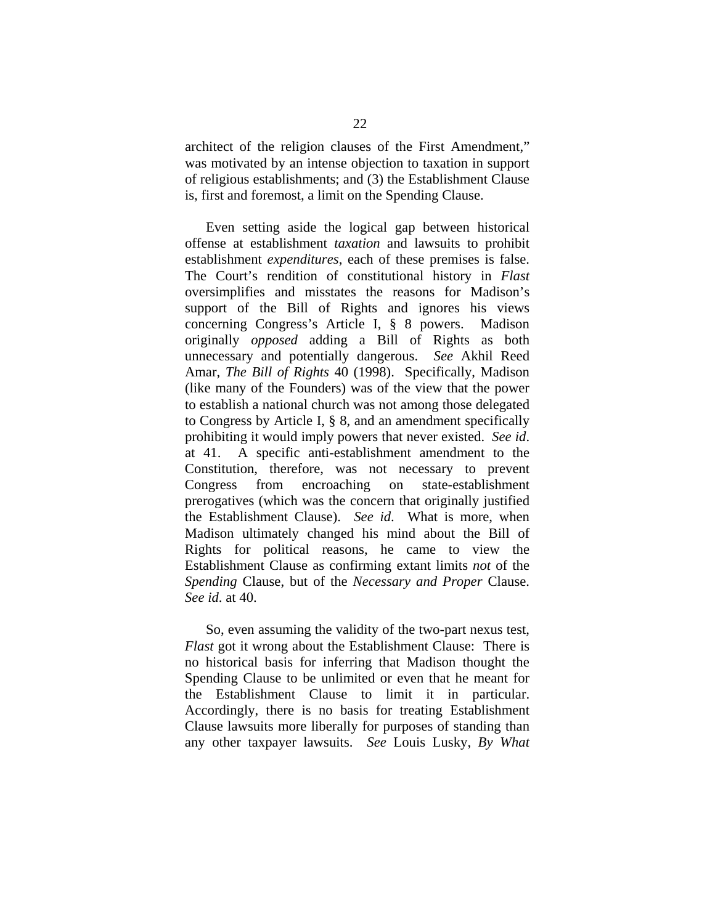architect of the religion clauses of the First Amendment," was motivated by an intense objection to taxation in support of religious establishments; and (3) the Establishment Clause is, first and foremost, a limit on the Spending Clause.

Even setting aside the logical gap between historical offense at establishment *taxation* and lawsuits to prohibit establishment *expenditures*, each of these premises is false. The Court's rendition of constitutional history in *Flast* oversimplifies and misstates the reasons for Madison's support of the Bill of Rights and ignores his views concerning Congress's Article I, § 8 powers. Madison originally *opposed* adding a Bill of Rights as both unnecessary and potentially dangerous. *See* Akhil Reed Amar, *The Bill of Rights* 40 (1998). Specifically, Madison (like many of the Founders) was of the view that the power to establish a national church was not among those delegated to Congress by Article I, § 8, and an amendment specifically prohibiting it would imply powers that never existed. *See id*. at 41.A specific anti-establishment amendment to the Constitution, therefore, was not necessary to prevent Congress from encroaching on state-establishment prerogatives (which was the concern that originally justified the Establishment Clause). *See id*.What is more, when Madison ultimately changed his mind about the Bill of Rights for political reasons, he came to view the Establishment Clause as confirming extant limits *not* of the *Spending* Clause, but of the *Necessary and Proper* Clause. *See id*. at 40.

So, even assuming the validity of the two-part nexus test, *Flast* got it wrong about the Establishment Clause: There is no historical basis for inferring that Madison thought the Spending Clause to be unlimited or even that he meant for the Establishment Clause to limit it in particular. Accordingly, there is no basis for treating Establishment Clause lawsuits more liberally for purposes of standing than any other taxpayer lawsuits. *See* Louis Lusky, *By What*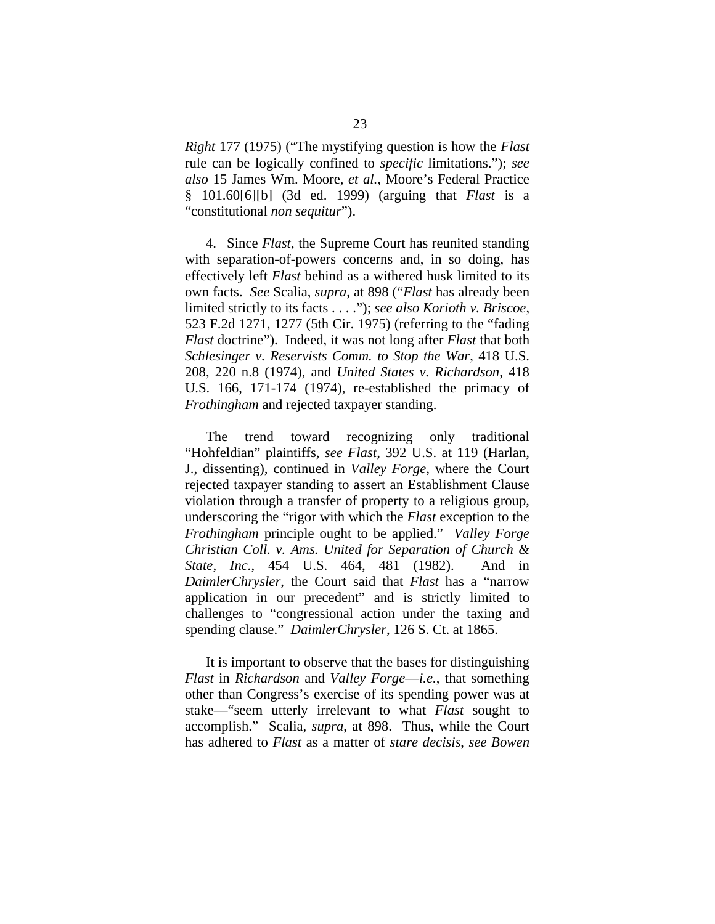*Right* 177 (1975) ("The mystifying question is how the *Flast*  rule can be logically confined to *specific* limitations."); *see also* 15 James Wm. Moore, *et al.*, Moore's Federal Practice § 101.60[6][b] (3d ed. 1999) (arguing that *Flast* is a "constitutional *non sequitur*").

4. Since *Flast*, the Supreme Court has reunited standing with separation-of-powers concerns and, in so doing, has effectively left *Flast* behind as a withered husk limited to its own facts. *See* Scalia, *supra*, at 898 ("*Flast* has already been limited strictly to its facts . . . ."); *see also Korioth v. Briscoe*, 523 F.2d 1271, 1277 (5th Cir. 1975) (referring to the "fading *Flast* doctrine"). Indeed, it was not long after *Flast* that both *Schlesinger v. Reservists Comm. to Stop the War*, 418 U.S. 208, 220 n.8 (1974), and *United States v. Richardson*, 418 U.S. 166, 171-174 (1974), re-established the primacy of *Frothingham* and rejected taxpayer standing.

The trend toward recognizing only traditional "Hohfeldian" plaintiffs, *see Flast*, 392 U.S. at 119 (Harlan, J., dissenting), continued in *Valley Forge*, where the Court rejected taxpayer standing to assert an Establishment Clause violation through a transfer of property to a religious group, underscoring the "rigor with which the *Flast* exception to the *Frothingham* principle ought to be applied." *Valley Forge Christian Coll. v. Ams. United for Separation of Church & State, Inc.*, 454 U.S. 464, 481 (1982). And in *DaimlerChrysler*, the Court said that *Flast* has a "narrow application in our precedent" and is strictly limited to challenges to "congressional action under the taxing and spending clause." *DaimlerChrysler*, 126 S. Ct. at 1865.

It is important to observe that the bases for distinguishing *Flast* in *Richardson* and *Valley Forge*—*i.e.*, that something other than Congress's exercise of its spending power was at stake—"seem utterly irrelevant to what *Flast* sought to accomplish." Scalia, *supra*, at 898. Thus, while the Court has adhered to *Flast* as a matter of *stare decisis*, *see Bowen*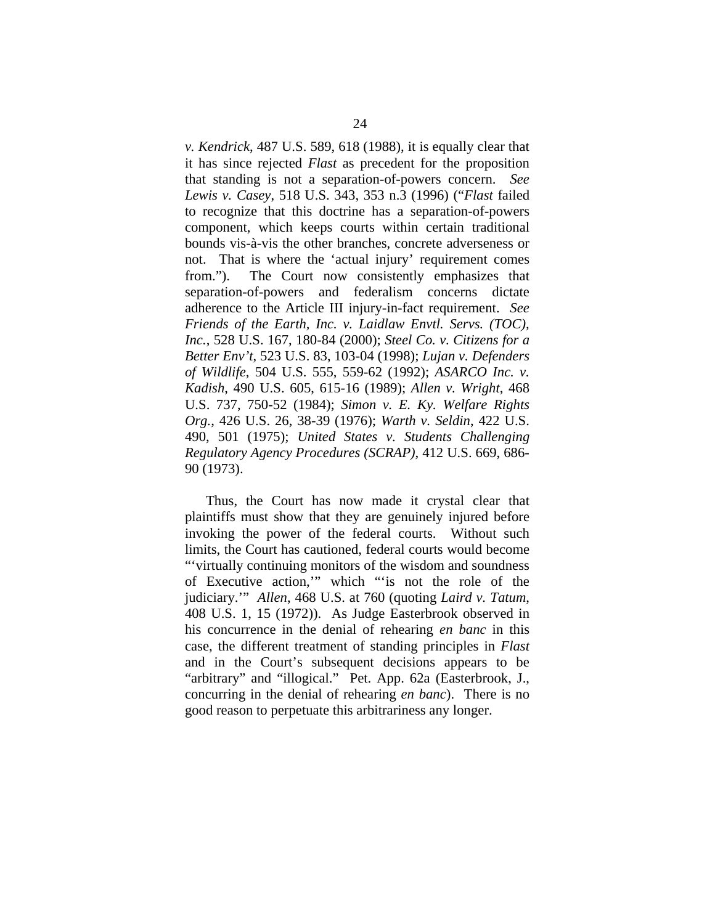*v. Kendrick*, 487 U.S. 589, 618 (1988), it is equally clear that it has since rejected *Flast* as precedent for the proposition that standing is not a separation-of-powers concern. *See Lewis v. Casey*, 518 U.S. 343, 353 n.3 (1996) ("*Flast* failed to recognize that this doctrine has a separation-of-powers component, which keeps courts within certain traditional bounds vis-à-vis the other branches, concrete adverseness or not. That is where the 'actual injury' requirement comes from."). The Court now consistently emphasizes that separation-of-powers and federalism concerns dictate adherence to the Article III injury-in-fact requirement. *See Friends of the Earth, Inc. v. Laidlaw Envtl. Servs. (TOC), Inc.*, 528 U.S. 167, 180-84 (2000); *Steel Co. v. Citizens for a Better Env't*, 523 U.S. 83, 103-04 (1998); *Lujan v. Defenders of Wildlife*, 504 U.S. 555, 559-62 (1992); *ASARCO Inc. v. Kadish*, 490 U.S. 605, 615-16 (1989); *Allen v. Wright*, 468 U.S. 737, 750-52 (1984); *Simon v. E. Ky. Welfare Rights Org.*, 426 U.S. 26, 38-39 (1976); *Warth v. Seldin*, 422 U.S. 490, 501 (1975); *United States v. Students Challenging Regulatory Agency Procedures (SCRAP)*, 412 U.S. 669, 686- 90 (1973).

Thus, the Court has now made it crystal clear that plaintiffs must show that they are genuinely injured before invoking the power of the federal courts. Without such limits, the Court has cautioned, federal courts would become "'virtually continuing monitors of the wisdom and soundness of Executive action,'" which "'is not the role of the judiciary.'" *Allen*, 468 U.S. at 760 (quoting *Laird v. Tatum*, 408 U.S. 1, 15 (1972)). As Judge Easterbrook observed in his concurrence in the denial of rehearing *en banc* in this case, the different treatment of standing principles in *Flast*  and in the Court's subsequent decisions appears to be "arbitrary" and "illogical." Pet. App. 62a (Easterbrook, J., concurring in the denial of rehearing *en banc*). There is no good reason to perpetuate this arbitrariness any longer.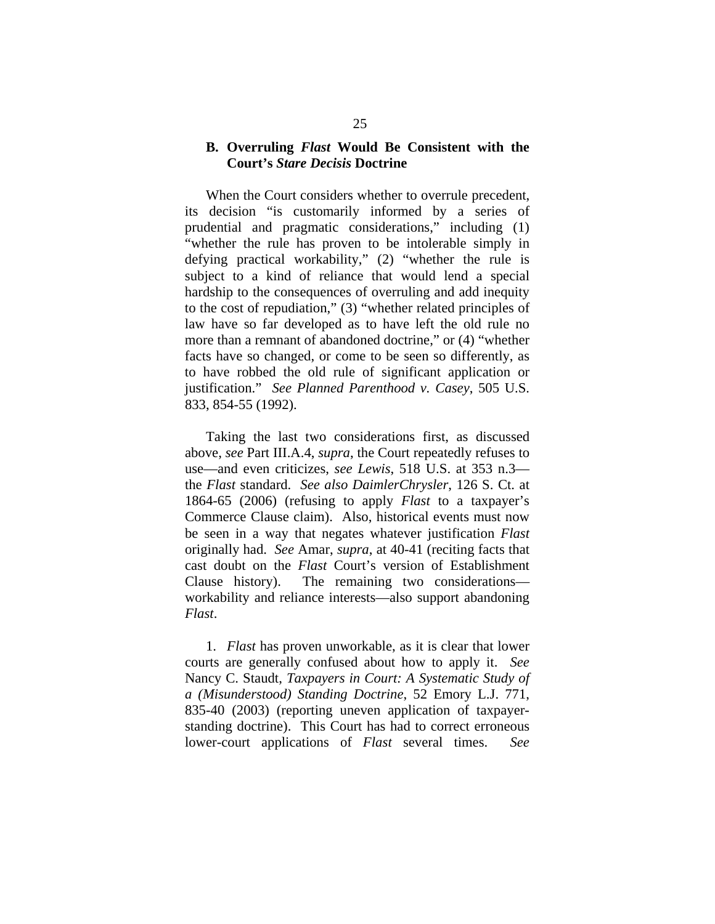### **B. Overruling** *Flast* **Would Be Consistent with the Court's** *Stare Decisis* **Doctrine**

 When the Court considers whether to overrule precedent, its decision "is customarily informed by a series of prudential and pragmatic considerations," including (1) "whether the rule has proven to be intolerable simply in defying practical workability," (2) "whether the rule is subject to a kind of reliance that would lend a special hardship to the consequences of overruling and add inequity to the cost of repudiation," (3) "whether related principles of law have so far developed as to have left the old rule no more than a remnant of abandoned doctrine," or (4) "whether facts have so changed, or come to be seen so differently, as to have robbed the old rule of significant application or justification." *See Planned Parenthood v. Casey*, 505 U.S. 833, 854-55 (1992).

 Taking the last two considerations first, as discussed above, *see* Part III.A.4, *supra*, the Court repeatedly refuses to use—and even criticizes, *see Lewis*, 518 U.S. at 353 n.3 the *Flast* standard. *See also DaimlerChrysler*, 126 S. Ct. at 1864-65 (2006) (refusing to apply *Flast* to a taxpayer's Commerce Clause claim). Also, historical events must now be seen in a way that negates whatever justification *Flast* originally had. *See* Amar, *supra*, at 40-41 (reciting facts that cast doubt on the *Flast* Court's version of Establishment Clause history). The remaining two considerations workability and reliance interests—also support abandoning *Flast*.

1. *Flast* has proven unworkable, as it is clear that lower courts are generally confused about how to apply it. *See*  Nancy C. Staudt, *Taxpayers in Court: A Systematic Study of a (Misunderstood) Standing Doctrine*, 52 Emory L.J. 771, 835-40 (2003) (reporting uneven application of taxpayerstanding doctrine). This Court has had to correct erroneous lower-court applications of *Flast* several times. *See*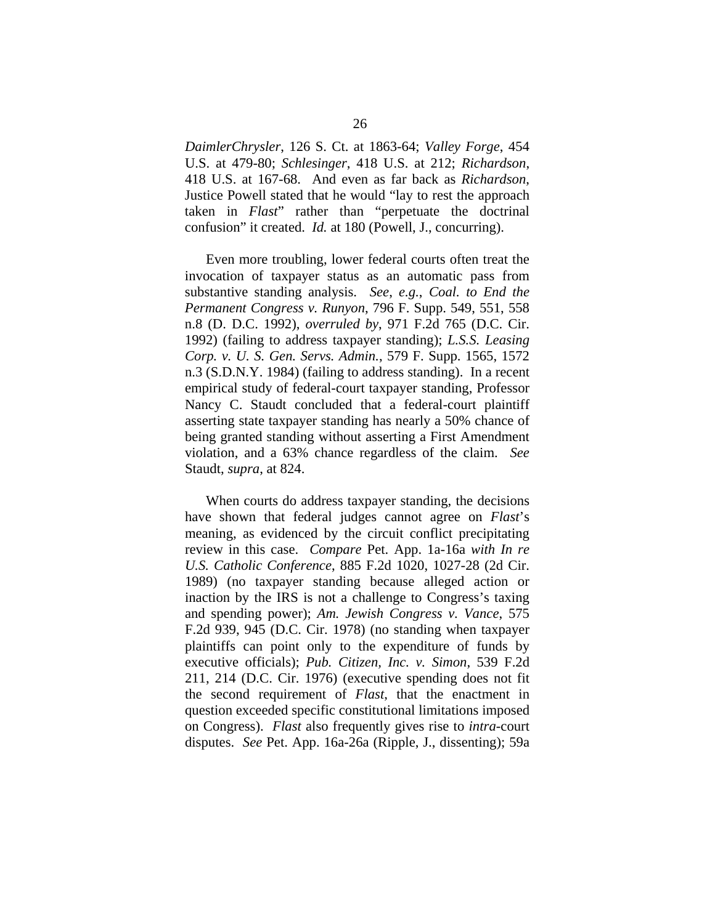*DaimlerChrysler*, 126 S. Ct. at 1863-64; *Valley Forge*, 454 U.S. at 479-80; *Schlesinger*, 418 U.S. at 212; *Richardson*, 418 U.S. at 167-68. And even as far back as *Richardson*, Justice Powell stated that he would "lay to rest the approach taken in *Flast*" rather than "perpetuate the doctrinal confusion" it created. *Id.* at 180 (Powell, J., concurring).

Even more troubling, lower federal courts often treat the invocation of taxpayer status as an automatic pass from substantive standing analysis. *See*, *e.g.*, *Coal. to End the Permanent Congress v. Runyon*, 796 F. Supp. 549, 551, 558 n.8 (D. D.C. 1992), *overruled by*, 971 F.2d 765 (D.C. Cir. 1992) (failing to address taxpayer standing); *L.S.S. Leasing Corp. v. U. S. Gen. Servs. Admin.*, 579 F. Supp. 1565, 1572 n.3 (S.D.N.Y. 1984) (failing to address standing). In a recent empirical study of federal-court taxpayer standing, Professor Nancy C. Staudt concluded that a federal-court plaintiff asserting state taxpayer standing has nearly a 50% chance of being granted standing without asserting a First Amendment violation, and a 63% chance regardless of the claim. *See*  Staudt, *supra*, at 824.

When courts do address taxpayer standing, the decisions have shown that federal judges cannot agree on *Flast*'s meaning, as evidenced by the circuit conflict precipitating review in this case. *Compare* Pet. App. 1a-16a *with In re U.S. Catholic Conference*, 885 F.2d 1020, 1027-28 (2d Cir. 1989) (no taxpayer standing because alleged action or inaction by the IRS is not a challenge to Congress's taxing and spending power); *Am. Jewish Congress v. Vance*, 575 F.2d 939, 945 (D.C. Cir. 1978) (no standing when taxpayer plaintiffs can point only to the expenditure of funds by executive officials); *Pub. Citizen, Inc. v. Simon*, 539 F.2d 211, 214 (D.C. Cir. 1976) (executive spending does not fit the second requirement of *Flast*, that the enactment in question exceeded specific constitutional limitations imposed on Congress). *Flast* also frequently gives rise to *intra*-court disputes. *See* Pet. App. 16a-26a (Ripple, J., dissenting); 59a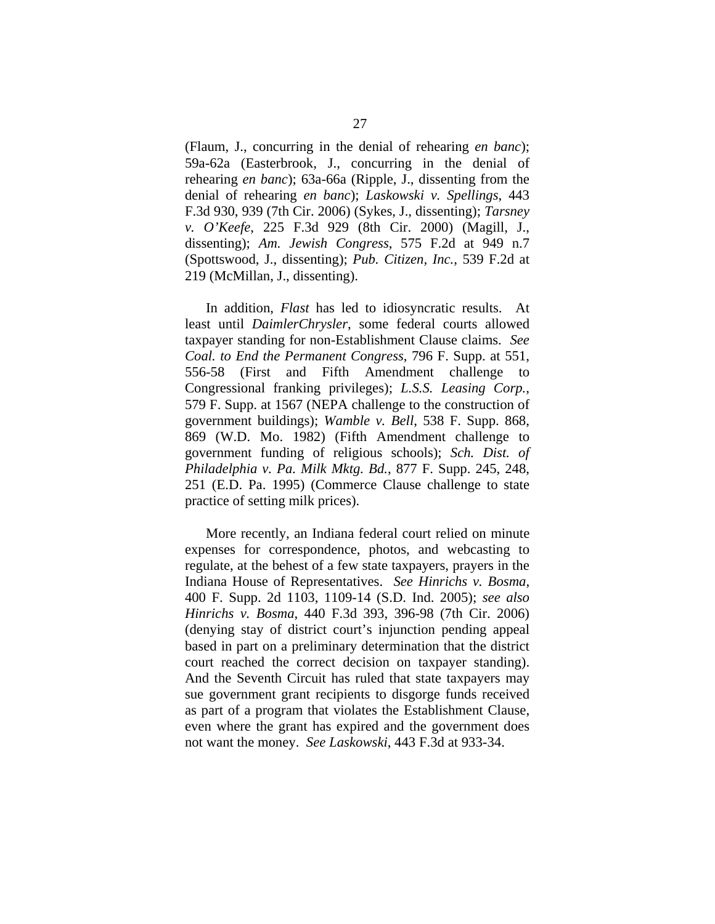(Flaum, J., concurring in the denial of rehearing *en banc*); 59a-62a (Easterbrook, J., concurring in the denial of rehearing *en banc*); 63a-66a (Ripple, J., dissenting from the denial of rehearing *en banc*); *Laskowski v. Spellings*, 443 F.3d 930, 939 (7th Cir. 2006) (Sykes, J., dissenting); *Tarsney v. O'Keefe*, 225 F.3d 929 (8th Cir. 2000) (Magill, J., dissenting); *Am. Jewish Congress*, 575 F.2d at 949 n.7 (Spottswood, J., dissenting); *Pub. Citizen, Inc.*, 539 F.2d at 219 (McMillan, J., dissenting).

In addition, *Flast* has led to idiosyncratic results. At least until *DaimlerChrysler*, some federal courts allowed taxpayer standing for non-Establishment Clause claims. *See Coal. to End the Permanent Congress*, 796 F. Supp. at 551, 556-58 (First and Fifth Amendment challenge to Congressional franking privileges); *L.S.S. Leasing Corp.*, 579 F. Supp. at 1567 (NEPA challenge to the construction of government buildings); *Wamble v. Bell*, 538 F. Supp. 868, 869 (W.D. Mo. 1982) (Fifth Amendment challenge to government funding of religious schools); *Sch. Dist. of Philadelphia v. Pa. Milk Mktg. Bd.*, 877 F. Supp. 245, 248, 251 (E.D. Pa. 1995) (Commerce Clause challenge to state practice of setting milk prices).

More recently, an Indiana federal court relied on minute expenses for correspondence, photos, and webcasting to regulate, at the behest of a few state taxpayers, prayers in the Indiana House of Representatives. *See Hinrichs v. Bosma*, 400 F. Supp. 2d 1103, 1109-14 (S.D. Ind. 2005); *see also Hinrichs v. Bosma*, 440 F.3d 393, 396-98 (7th Cir. 2006) (denying stay of district court's injunction pending appeal based in part on a preliminary determination that the district court reached the correct decision on taxpayer standing). And the Seventh Circuit has ruled that state taxpayers may sue government grant recipients to disgorge funds received as part of a program that violates the Establishment Clause, even where the grant has expired and the government does not want the money. *See Laskowski*, 443 F.3d at 933-34.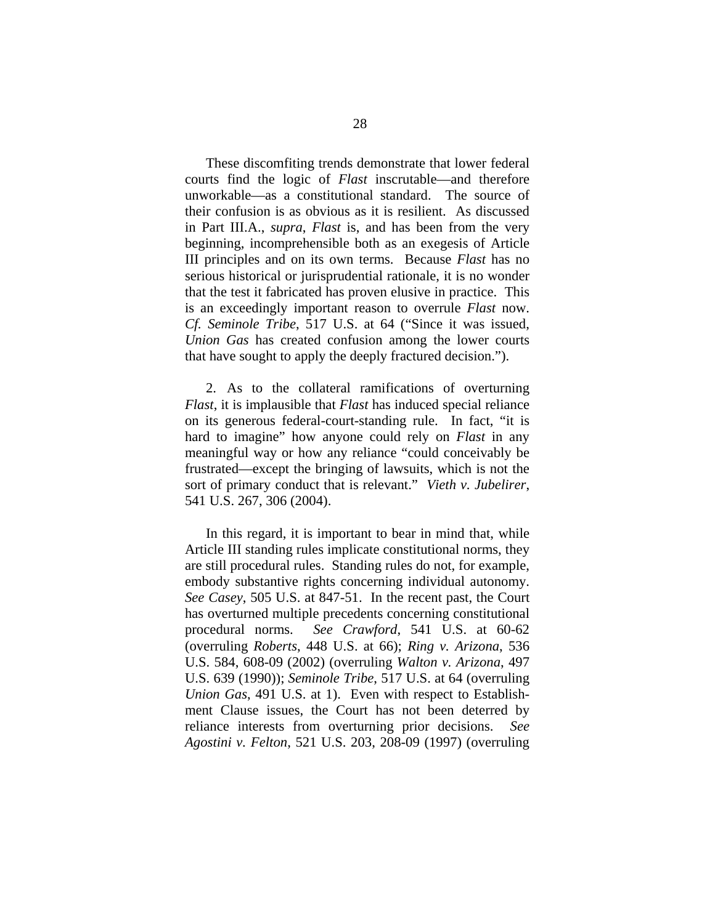These discomfiting trends demonstrate that lower federal courts find the logic of *Flast* inscrutable—and therefore unworkable—as a constitutional standard. The source of their confusion is as obvious as it is resilient. As discussed in Part III.A., *supra*, *Flast* is, and has been from the very beginning, incomprehensible both as an exegesis of Article III principles and on its own terms. Because *Flast* has no serious historical or jurisprudential rationale, it is no wonder that the test it fabricated has proven elusive in practice. This is an exceedingly important reason to overrule *Flast* now. *Cf. Seminole Tribe*, 517 U.S. at 64 ("Since it was issued, *Union Gas* has created confusion among the lower courts that have sought to apply the deeply fractured decision.").

2. As to the collateral ramifications of overturning *Flast*, it is implausible that *Flast* has induced special reliance on its generous federal-court-standing rule. In fact, "it is hard to imagine" how anyone could rely on *Flast* in any meaningful way or how any reliance "could conceivably be frustrated—except the bringing of lawsuits, which is not the sort of primary conduct that is relevant." *Vieth v. Jubelirer*, 541 U.S. 267, 306 (2004).

In this regard, it is important to bear in mind that, while Article III standing rules implicate constitutional norms, they are still procedural rules. Standing rules do not, for example, embody substantive rights concerning individual autonomy. *See Casey*, 505 U.S. at 847-51. In the recent past, the Court has overturned multiple precedents concerning constitutional procedural norms. *See Crawford*, 541 U.S. at 60-62 (overruling *Roberts*, 448 U.S. at 66); *Ring v. Arizona*, 536 U.S. 584, 608-09 (2002) (overruling *Walton v. Arizona*, 497 U.S. 639 (1990)); *Seminole Tribe*, 517 U.S. at 64 (overruling *Union Gas*, 491 U.S. at 1).Even with respect to Establishment Clause issues, the Court has not been deterred by reliance interests from overturning prior decisions. *See Agostini v. Felton*, 521 U.S. 203, 208-09 (1997) (overruling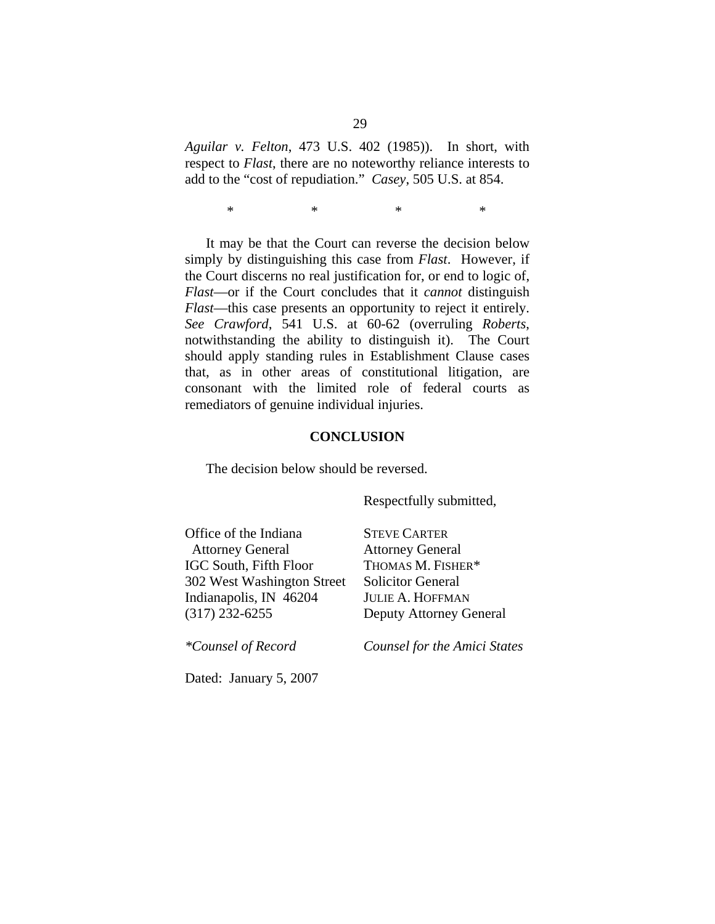*Aguilar v. Felton*, 473 U.S. 402 (1985)). In short, with respect to *Flast*, there are no noteworthy reliance interests to add to the "cost of repudiation." *Casey*, 505 U.S. at 854.

 $*$  \* \* \* \*

 It may be that the Court can reverse the decision below simply by distinguishing this case from *Flast*. However, if the Court discerns no real justification for, or end to logic of, *Flast*—or if the Court concludes that it *cannot* distinguish *Flast*—this case presents an opportunity to reject it entirely. *See Crawford*, 541 U.S. at 60-62 (overruling *Roberts*, notwithstanding the ability to distinguish it).The Court should apply standing rules in Establishment Clause cases that, as in other areas of constitutional litigation, are consonant with the limited role of federal courts as remediators of genuine individual injuries.

#### **CONCLUSION**

The decision below should be reversed.

Respectfully submitted,

Office of the Indiana Attorney General IGC South, Fifth Floor 302 West Washington Street Indianapolis, IN 46204 (317) 232-6255

STEVE CARTER Attorney General THOMAS M. FISHER\* Solicitor General JULIE A. HOFFMAN Deputy Attorney General

*\*Counsel of Record* 

*Counsel for the Amici States* 

Dated: January 5, 2007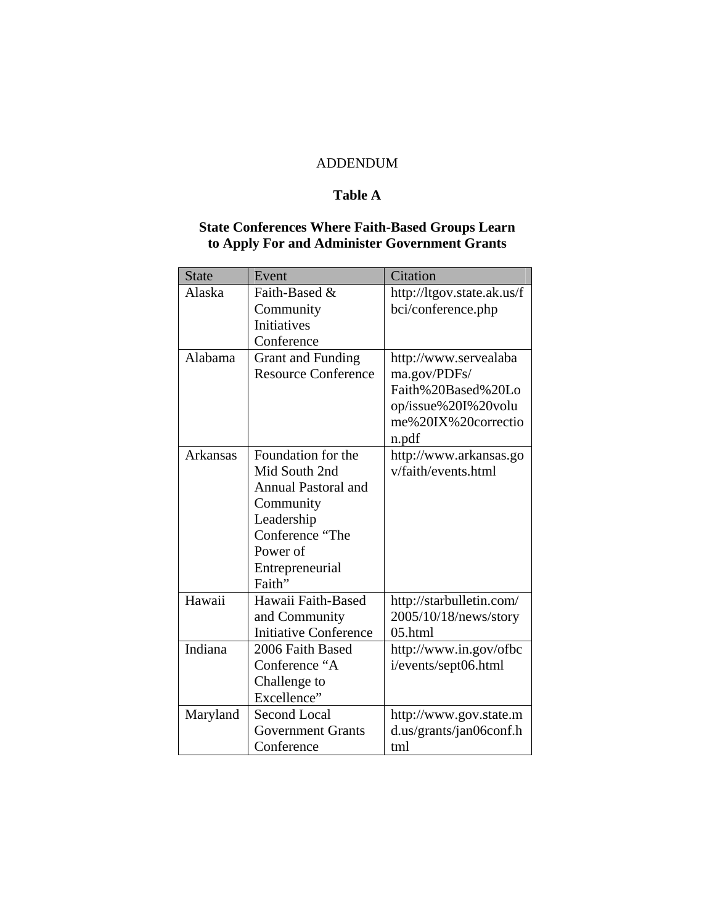## ADDENDUM

## **Table A**

## **State Conferences Where Faith-Based Groups Learn to Apply For and Administer Government Grants**

| <b>State</b>    | Event                        | Citation                   |
|-----------------|------------------------------|----------------------------|
| Alaska          | Faith-Based &                | http://ltgov.state.ak.us/f |
|                 | Community                    | bci/conference.php         |
|                 | <b>Initiatives</b>           |                            |
|                 | Conference                   |                            |
| Alabama         | <b>Grant and Funding</b>     | http://www.servealaba      |
|                 | <b>Resource Conference</b>   | ma.gov/PDFs/               |
|                 |                              | Faith%20Based%20Lo         |
|                 |                              | op/issue%20I%20volu        |
|                 |                              | me%20IX%20correctio        |
|                 |                              | n.pdf                      |
| <b>Arkansas</b> | Foundation for the           | http://www.arkansas.go     |
|                 | Mid South 2nd                | v/faith/events.html        |
|                 | <b>Annual Pastoral and</b>   |                            |
|                 | Community                    |                            |
|                 | Leadership                   |                            |
|                 | Conference "The              |                            |
|                 | Power of                     |                            |
|                 | Entrepreneurial              |                            |
|                 | Faith"                       |                            |
| Hawaii          | Hawaii Faith-Based           | http://starbulletin.com/   |
|                 | and Community                | 2005/10/18/news/story      |
|                 | <b>Initiative Conference</b> | 05.html                    |
| Indiana         | 2006 Faith Based             | http://www.in.gov/ofbc     |
|                 | Conference "A                | i/events/sept06.html       |
|                 | Challenge to                 |                            |
|                 | Excellence"                  |                            |
| Maryland        | <b>Second Local</b>          | http://www.gov.state.m     |
|                 | <b>Government Grants</b>     | d.us/grants/jan06conf.h    |
|                 | Conference                   | tml                        |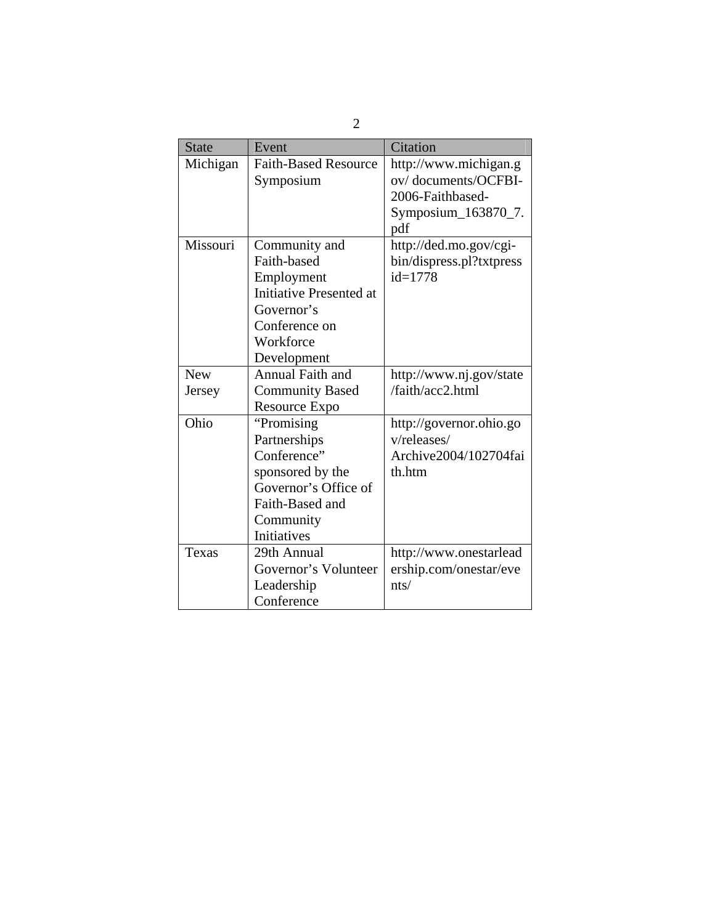| <b>State</b> | Event                       | Citation                 |
|--------------|-----------------------------|--------------------------|
| Michigan     | <b>Faith-Based Resource</b> | http://www.michigan.g    |
|              | Symposium                   | ov/documents/OCFBI-      |
|              |                             | 2006-Faithbased-         |
|              |                             | Symposium_163870_7.      |
|              |                             | pdf                      |
| Missouri     | Community and               | http://ded.mo.gov/cgi-   |
|              | Faith-based                 | bin/dispress.pl?txtpress |
|              | Employment                  | $id = 1778$              |
|              | Initiative Presented at     |                          |
|              | Governor's                  |                          |
|              | Conference on               |                          |
|              | Workforce                   |                          |
|              | Development                 |                          |
| <b>New</b>   | Annual Faith and            | http://www.nj.gov/state  |
| Jersey       | <b>Community Based</b>      | /faith/acc2.html         |
|              | Resource Expo               |                          |
| Ohio         | "Promising"                 | http://governor.ohio.go  |
|              | Partnerships                | v/releases/              |
|              | Conference"                 | Archive2004/102704fai    |
|              | sponsored by the            | th.htm                   |
|              | Governor's Office of        |                          |
|              | Faith-Based and             |                          |
|              | Community                   |                          |
|              | <b>Initiatives</b>          |                          |
| Texas        | 29th Annual                 | http://www.onestarlead   |
|              | Governor's Volunteer        | ership.com/onestar/eve   |
|              | Leadership                  | nts/                     |
|              | Conference                  |                          |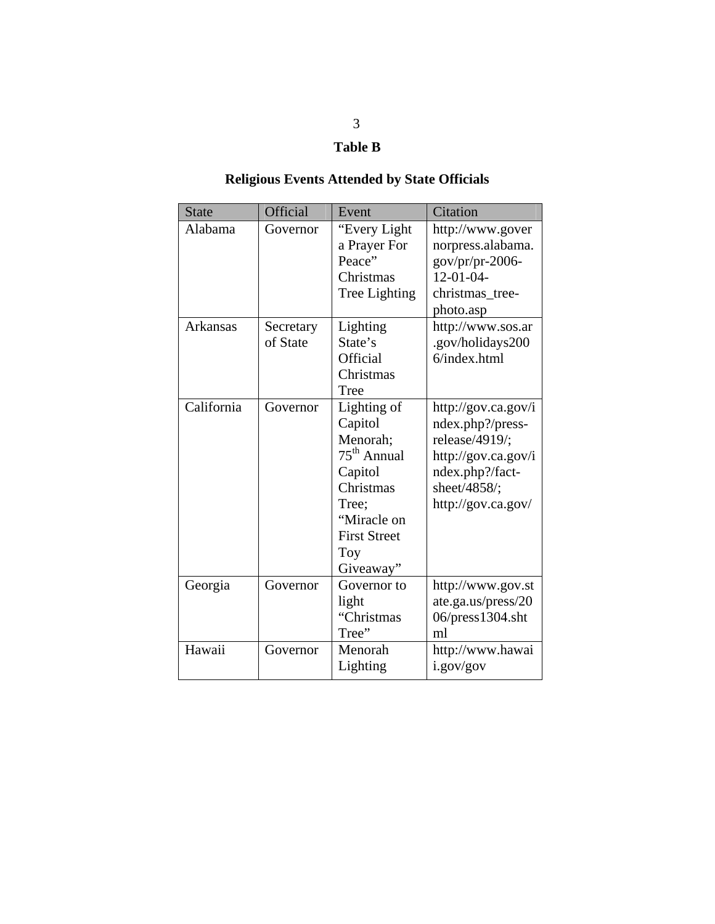# **Table B**

# **Religious Events Attended by State Officials**

| <b>State</b>    | Official              | Event                                                                                                                                          | Citation                                                                                                                                  |
|-----------------|-----------------------|------------------------------------------------------------------------------------------------------------------------------------------------|-------------------------------------------------------------------------------------------------------------------------------------------|
| Alabama         | Governor              | "Every Light<br>a Prayer For<br>Peace"<br>Christmas<br>Tree Lighting                                                                           | http://www.gover<br>norpress.alabama.<br>gov/pr/pr-2006-<br>$12-01-04-$<br>christmas_tree-<br>photo.asp                                   |
| <b>Arkansas</b> | Secretary<br>of State | Lighting<br>State's<br>Official<br>Christmas<br>Tree                                                                                           | http://www.sos.ar<br>.gov/holidays200<br>6/index.html                                                                                     |
| California      | Governor              | Lighting of<br>Capitol<br>Menorah;<br>$75th$ Annual<br>Capitol<br>Christmas<br>Tree;<br>"Miracle on<br><b>First Street</b><br>Toy<br>Giveaway" | http://gov.ca.gov/i<br>ndex.php?/press-<br>release/4919/;<br>http://gov.ca.gov/i<br>ndex.php?/fact-<br>sheet/4858/;<br>http://gov.ca.gov/ |
| Georgia         | Governor              | Governor to<br>light<br>"Christmas<br>Tree"                                                                                                    | http://www.gov.st<br>ate.ga.us/press/20<br>06/press1304.sht<br>ml                                                                         |
| Hawaii          | Governor              | Menorah<br>Lighting                                                                                                                            | http://www.hawai<br>i.gov/gov                                                                                                             |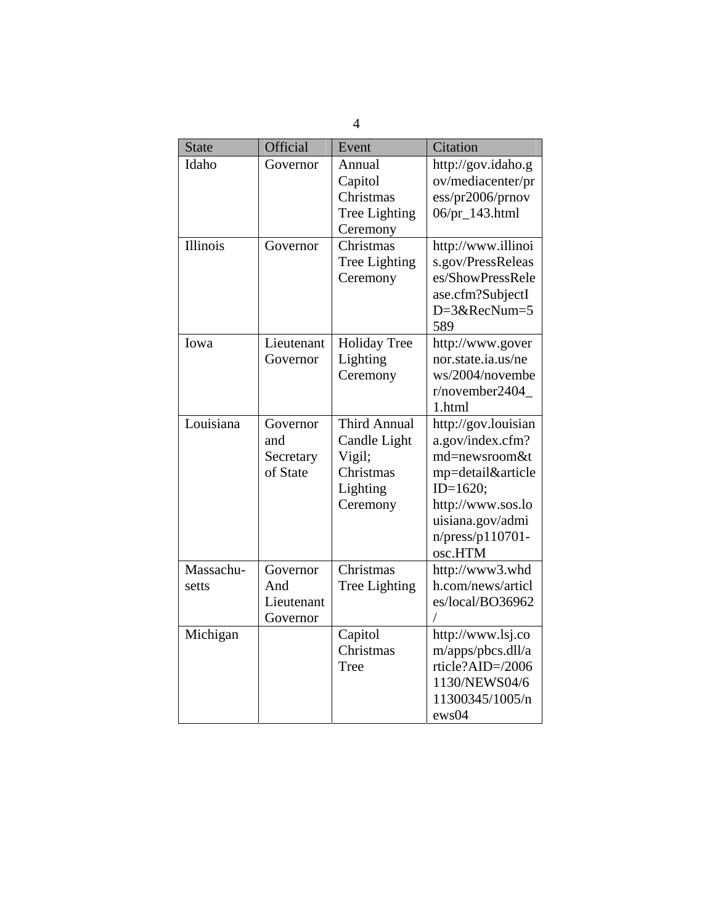| 4                  |                                           |                                                                                    |                                                                                                                                                                       |
|--------------------|-------------------------------------------|------------------------------------------------------------------------------------|-----------------------------------------------------------------------------------------------------------------------------------------------------------------------|
| <b>State</b>       | Official                                  | Event                                                                              | Citation                                                                                                                                                              |
| Idaho              | Governor                                  | Annual<br>Capitol<br>Christmas<br>Tree Lighting<br>Ceremony                        | http://gov.idaho.g<br>ov/mediacenter/pr<br>ess/pr2006/prnov<br>06/pr_143.html                                                                                         |
| Illinois           | Governor                                  | Christmas<br>Tree Lighting<br>Ceremony                                             | http://www.illinoi<br>s.gov/PressReleas<br>es/ShowPressRele<br>ase.cfm?SubjectI<br>D=3&RecNum=5<br>589                                                                |
| Iowa               | Lieutenant<br>Governor                    | <b>Holiday Tree</b><br>Lighting<br>Ceremony                                        | http://www.gover<br>nor.state.ia.us/ne<br>ws/2004/novembe<br>r/november2404<br>1.html                                                                                 |
| Louisiana          | Governor<br>and<br>Secretary<br>of State  | <b>Third Annual</b><br>Candle Light<br>Vigil;<br>Christmas<br>Lighting<br>Ceremony | http://gov.louisian<br>a.gov/index.cfm?<br>md=newsroom&t<br>mp=detail&article<br>$ID=1620;$<br>http://www.sos.lo<br>uisiana.gov/admi<br>$n/press/p110701-$<br>osc.HTM |
| Massachu-<br>setts | Governor<br>And<br>Lieutenant<br>Governor | Christmas<br>Tree Lighting                                                         | http://www3.whd<br>h.com/news/articl<br>es/local/BO36962                                                                                                              |
| Michigan           |                                           | Capitol<br>Christmas<br>Tree                                                       | http://www.lsj.co<br>m/apps/pbcs.dll/a<br>rticle?AID=/2006<br>1130/NEWS04/6<br>11300345/1005/n<br>ews04                                                               |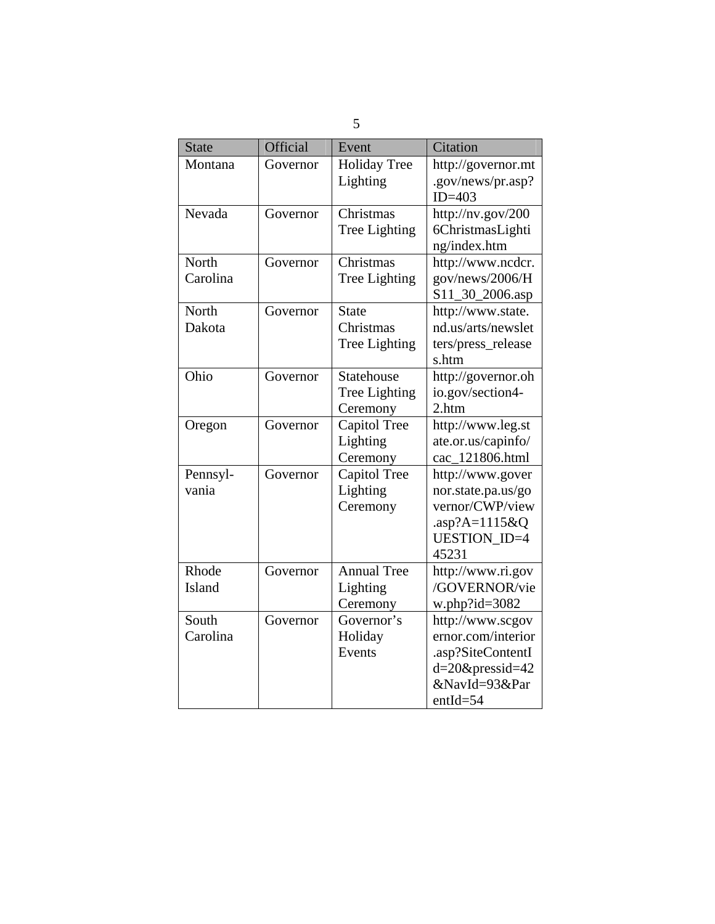| <b>State</b> | Official | Event               | Citation            |
|--------------|----------|---------------------|---------------------|
| Montana      | Governor | <b>Holiday Tree</b> | http://governor.mt  |
|              |          | Lighting            | .gov/news/pr.asp?   |
|              |          |                     | $ID=403$            |
| Nevada       | Governor | Christmas           | http://nv.gov/200   |
|              |          | Tree Lighting       | 6ChristmasLighti    |
|              |          |                     | ng/index.htm        |
| North        | Governor | Christmas           | http://www.ncdcr.   |
| Carolina     |          | Tree Lighting       | gov/news/2006/H     |
|              |          |                     | S11_30_2006.asp     |
| North        | Governor | <b>State</b>        | http://www.state.   |
| Dakota       |          | Christmas           | nd.us/arts/newslet  |
|              |          | Tree Lighting       | ters/press_release  |
|              |          |                     | s.htm               |
| Ohio         | Governor | Statehouse          | http://governor.oh  |
|              |          | Tree Lighting       | io.gov/section4-    |
|              |          | Ceremony            | 2.htm               |
| Oregon       | Governor | Capitol Tree        | http://www.leg.st   |
|              |          | Lighting            | ate.or.us/capinfo/  |
|              |          | Ceremony            | cac_121806.html     |
| Pennsyl-     | Governor | Capitol Tree        | http://www.gover    |
| vania        |          | Lighting            | nor.state.pa.us/go  |
|              |          | Ceremony            | vernor/CWP/view     |
|              |          |                     | .asp?A=1115&Q       |
|              |          |                     | <b>UESTION ID=4</b> |
|              |          |                     | 45231               |
| Rhode        | Governor | <b>Annual Tree</b>  | http://www.ri.gov   |
| Island       |          | Lighting            | /GOVERNOR/vie       |
|              |          | Ceremony            | w.php?id= $3082$    |
| South        | Governor | Governor's          | http://www.scgov    |
| Carolina     |          | Holiday             | ernor.com/interior  |
|              |          | Events              | .asp?SiteContentI   |
|              |          |                     | $d=20$ &pressid=42  |
|              |          |                     | &NavId=93&Par       |
|              |          |                     | $entId = 54$        |